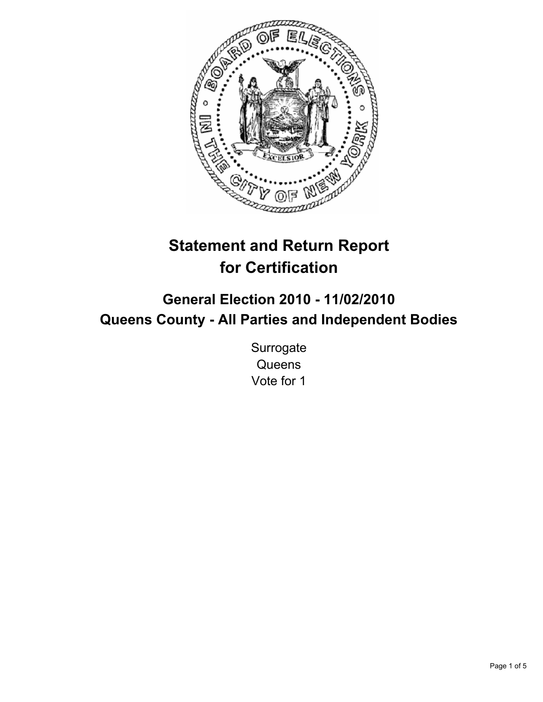

# **Statement and Return Report for Certification**

# **General Election 2010 - 11/02/2010 Queens County - All Parties and Independent Bodies**

**Surrogate Queens** Vote for 1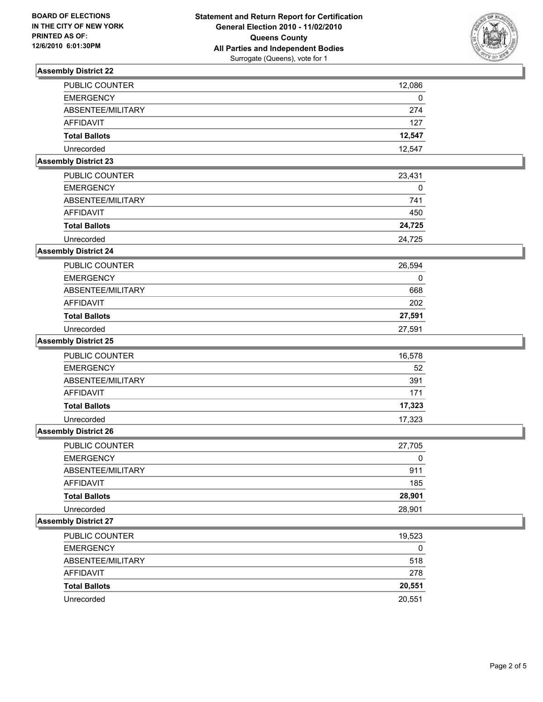

| <b>PUBLIC COUNTER</b>       | 12,086 |
|-----------------------------|--------|
| <b>EMERGENCY</b>            | 0      |
| ABSENTEE/MILITARY           | 274    |
| AFFIDAVIT                   | 127    |
| <b>Total Ballots</b>        | 12,547 |
| Unrecorded                  | 12,547 |
| <b>Assembly District 23</b> |        |

| <b>PUBLIC COUNTER</b> | 23.431 |
|-----------------------|--------|
| <b>EMERGENCY</b>      | 0      |
| ABSENTEE/MILITARY     | 741    |
| AFFIDAVIT             | 450    |
| <b>Total Ballots</b>  | 24.725 |
| Unrecorded            | 24.725 |

## **Assembly District 24**

| <b>PUBLIC COUNTER</b> | 26,594 |
|-----------------------|--------|
| <b>EMERGENCY</b>      |        |
| ABSENTEE/MILITARY     | 668    |
| AFFIDAVIT             | 202    |
| <b>Total Ballots</b>  | 27,591 |
| Unrecorded            | 27.591 |

#### **Assembly District 25**

| <b>PUBLIC COUNTER</b> | 16,578 |
|-----------------------|--------|
| <b>EMERGENCY</b>      | 52     |
| ABSENTEE/MILITARY     | 391    |
| AFFIDAVIT             | 171    |
| <b>Total Ballots</b>  | 17,323 |
| Unrecorded            | 17,323 |

#### **Assembly District 26**

| <b>PUBLIC COUNTER</b> | 27,705 |
|-----------------------|--------|
| <b>EMERGENCY</b>      | 0      |
| ABSENTEE/MILITARY     | 911    |
| AFFIDAVIT             | 185    |
| <b>Total Ballots</b>  | 28,901 |
| Unrecorded            | 28.901 |

| <b>PUBLIC COUNTER</b> | 19,523 |
|-----------------------|--------|
| <b>EMERGENCY</b>      | 0      |
| ABSENTEE/MILITARY     | 518    |
| AFFIDAVIT             | 278    |
| <b>Total Ballots</b>  | 20,551 |
| Unrecorded            | 20.551 |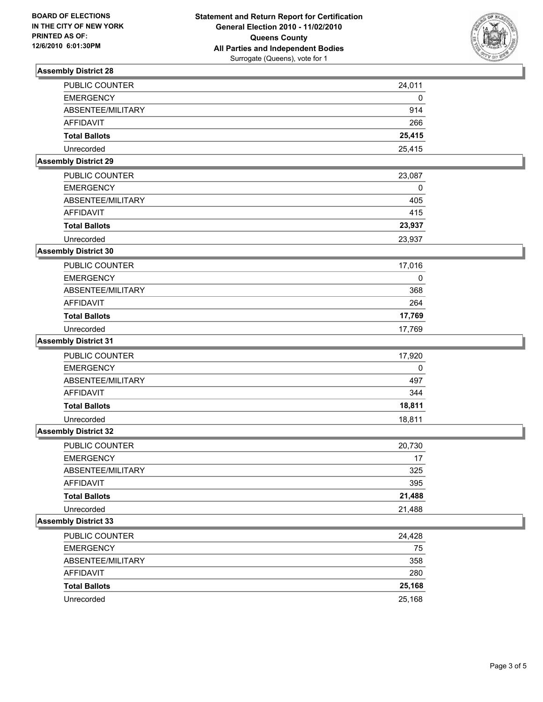

| Unrecorded<br><b>Assembly District 29</b> | 25,415 |
|-------------------------------------------|--------|
|                                           |        |
| <b>Total Ballots</b>                      | 25,415 |
| AFFIDAVIT                                 | 266    |
| ABSENTEE/MILITARY                         | 914    |
| <b>EMERGENCY</b>                          | 0      |
| PUBLIC COUNTER                            | 24,011 |

| <b>Total Ballots</b>  | 23.937 |
|-----------------------|--------|
| AFFIDAVIT             | 415    |
| ABSENTEE/MILITARY     | 405    |
| <b>EMERGENCY</b>      |        |
| <b>PUBLIC COUNTER</b> | 23.087 |

## Unrecorded 23,937 **Assembly District 30**

| <b>PUBLIC COUNTER</b> | 17,016 |
|-----------------------|--------|
| <b>EMERGENCY</b>      | 0      |
| ABSENTEE/MILITARY     | 368    |
| AFFIDAVIT             | 264    |
| <b>Total Ballots</b>  | 17,769 |
| Unrecorded            | 17.769 |

#### **Assembly District 31**

| PUBLIC COUNTER       | 17,920 |
|----------------------|--------|
| <b>EMERGENCY</b>     | 0      |
| ABSENTEE/MILITARY    | 497    |
| AFFIDAVIT            | 344    |
| <b>Total Ballots</b> | 18,811 |
| Unrecorded           | 18.811 |

#### **Assembly District 32**

| <b>PUBLIC COUNTER</b> | 20,730 |
|-----------------------|--------|
| <b>EMERGENCY</b>      | 17     |
| ABSENTEE/MILITARY     | 325    |
| AFFIDAVIT             | 395    |
| <b>Total Ballots</b>  | 21,488 |
| Unrecorded            | 21.488 |

| PUBLIC COUNTER       | 24,428 |
|----------------------|--------|
| <b>EMERGENCY</b>     | 75     |
| ABSENTEE/MILITARY    | 358    |
| AFFIDAVIT            | 280    |
| <b>Total Ballots</b> | 25,168 |
| Unrecorded           | 25,168 |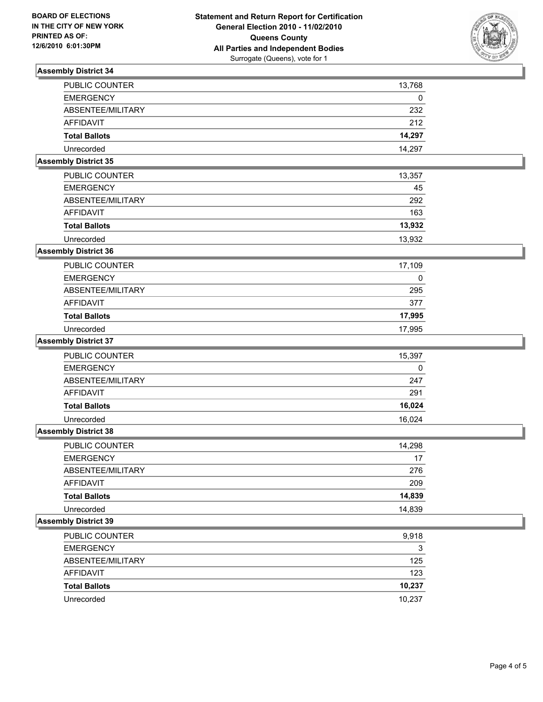

| <b>Assembly District 35</b> |        |
|-----------------------------|--------|
| Unrecorded                  | 14,297 |
| <b>Total Ballots</b>        | 14.297 |
| AFFIDAVIT                   | 212    |
| ABSENTEE/MILITARY           | 232    |
| <b>EMERGENCY</b>            | 0      |
| <b>PUBLIC COUNTER</b>       | 13.768 |

| PUBLIC COUNTER       | 13,357 |
|----------------------|--------|
| <b>EMERGENCY</b>     | 45     |
| ABSENTEE/MILITARY    | 292    |
| AFFIDAVIT            | 163    |
| <b>Total Ballots</b> | 13,932 |
| Unrecorded           | 13.932 |

# **Assembly District 36**

| PUBLIC COUNTER       | 17,109 |
|----------------------|--------|
| <b>EMERGENCY</b>     | 0      |
| ABSENTEE/MILITARY    | 295    |
| AFFIDAVIT            | 377    |
| <b>Total Ballots</b> | 17,995 |
| Unrecorded           | 17.995 |

#### **Assembly District 37**

| <b>PUBLIC COUNTER</b> | 15,397 |
|-----------------------|--------|
| <b>EMERGENCY</b>      | 0      |
| ABSENTEE/MILITARY     | 247    |
| AFFIDAVIT             | 291    |
| <b>Total Ballots</b>  | 16,024 |
| Unrecorded            | 16.024 |

#### **Assembly District 38**

| <b>PUBLIC COUNTER</b> | 14,298 |
|-----------------------|--------|
| <b>EMERGENCY</b>      | 17     |
| ABSENTEE/MILITARY     | 276    |
| AFFIDAVIT             | 209    |
| <b>Total Ballots</b>  | 14,839 |
| Unrecorded            | 14.839 |

| PUBLIC COUNTER       | 9,918  |
|----------------------|--------|
| <b>EMERGENCY</b>     | 3      |
| ABSENTEE/MILITARY    | 125    |
| AFFIDAVIT            | 123    |
| <b>Total Ballots</b> | 10,237 |
| Unrecorded           | 10.237 |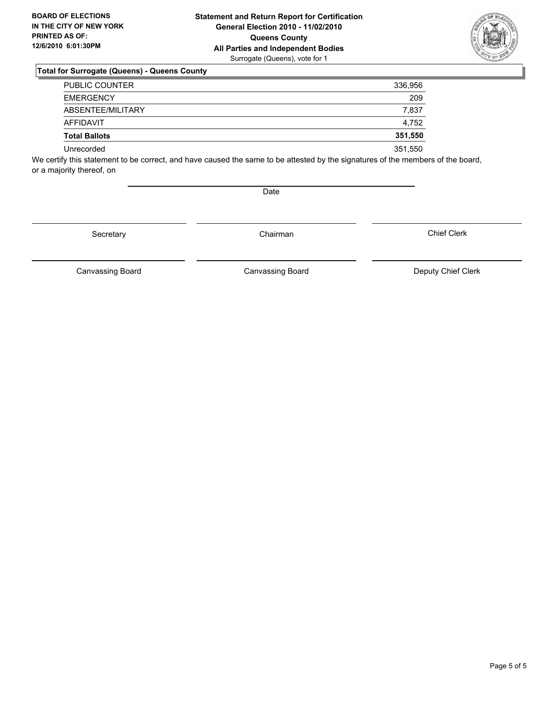

| <b>PUBLIC COUNTER</b> | 336,956 |
|-----------------------|---------|
| <b>EMERGENCY</b>      | 209     |
| ABSENTEE/MILITARY     | 7,837   |
| AFFIDAVIT             | 4.752   |
| <b>Total Ballots</b>  | 351,550 |
| Unrecorded            | 351,550 |

We certify this statement to be correct, and have caused the same to be attested by the signatures of the members of the board, or a majority thereof, on

**Date** 

Secretary **Chairman** 

Chief Clerk

Canvassing Board

Canvassing Board **Canvassing Board** Canvassing Board **Deputy Chief Clerk**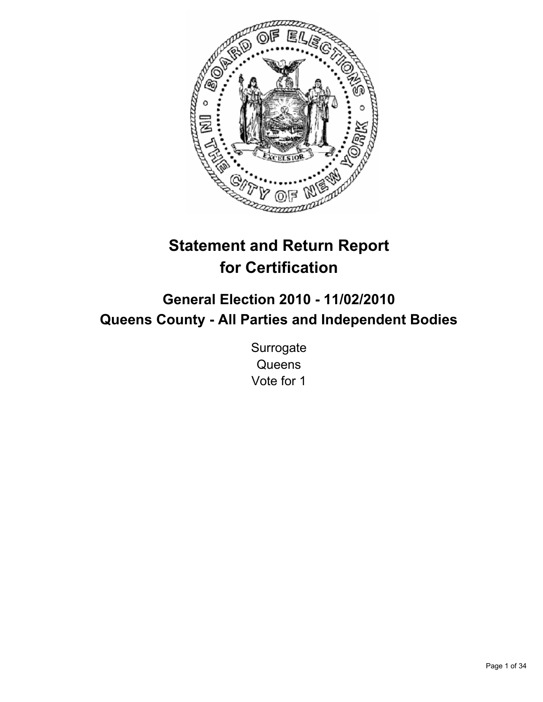

# **Statement and Return Report for Certification**

# **General Election 2010 - 11/02/2010 Queens County - All Parties and Independent Bodies**

**Surrogate Queens** Vote for 1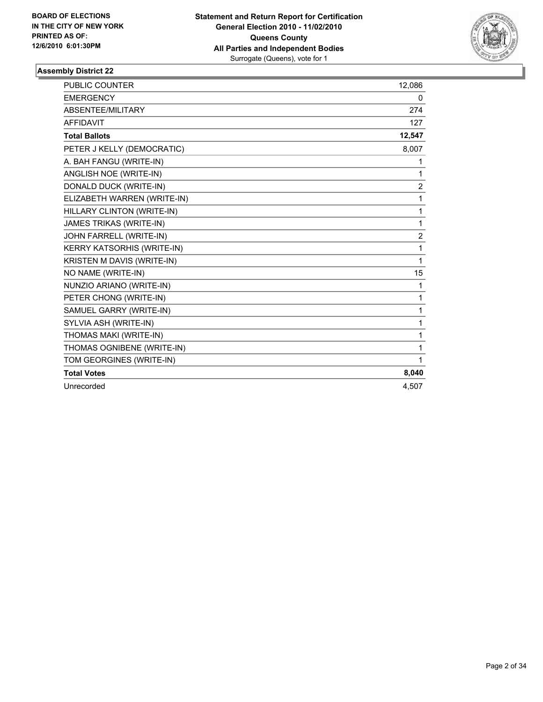

| <b>PUBLIC COUNTER</b>       | 12,086         |
|-----------------------------|----------------|
| <b>EMERGENCY</b>            | 0              |
| ABSENTEE/MILITARY           | 274            |
| <b>AFFIDAVIT</b>            | 127            |
| <b>Total Ballots</b>        | 12,547         |
| PETER J KELLY (DEMOCRATIC)  | 8,007          |
| A. BAH FANGU (WRITE-IN)     | 1              |
| ANGLISH NOE (WRITE-IN)      | 1              |
| DONALD DUCK (WRITE-IN)      | 2              |
| ELIZABETH WARREN (WRITE-IN) | 1              |
| HILLARY CLINTON (WRITE-IN)  | 1              |
| JAMES TRIKAS (WRITE-IN)     | 1              |
| JOHN FARRELL (WRITE-IN)     | $\overline{2}$ |
| KERRY KATSORHIS (WRITE-IN)  | 1              |
| KRISTEN M DAVIS (WRITE-IN)  | 1              |
| NO NAME (WRITE-IN)          | 15             |
| NUNZIO ARIANO (WRITE-IN)    | 1              |
| PETER CHONG (WRITE-IN)      | 1              |
| SAMUEL GARRY (WRITE-IN)     | 1              |
| SYLVIA ASH (WRITE-IN)       | 1              |
| THOMAS MAKI (WRITE-IN)      | 1              |
| THOMAS OGNIBENE (WRITE-IN)  | 1              |
| TOM GEORGINES (WRITE-IN)    | 1              |
| <b>Total Votes</b>          | 8,040          |
| Unrecorded                  | 4.507          |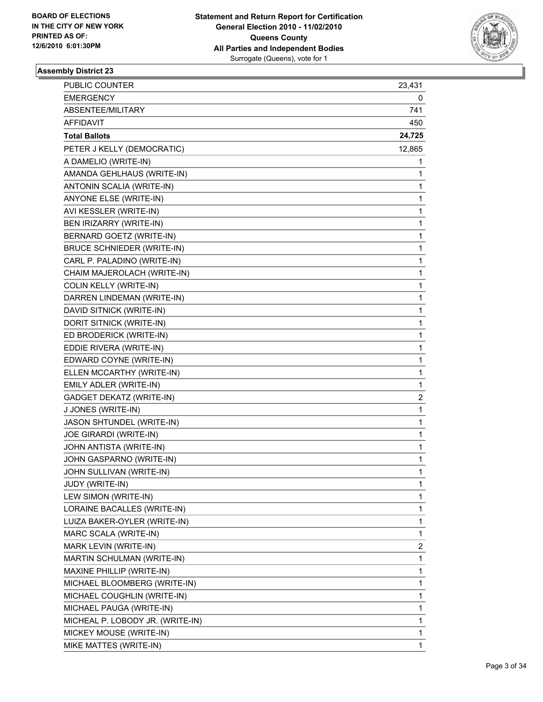

| PUBLIC COUNTER                    | 23,431 |
|-----------------------------------|--------|
| <b>EMERGENCY</b>                  | 0      |
| ABSENTEE/MILITARY                 | 741    |
| AFFIDAVIT                         | 450    |
| <b>Total Ballots</b>              | 24,725 |
| PETER J KELLY (DEMOCRATIC)        | 12,865 |
| A DAMELIO (WRITE-IN)              | 1      |
| AMANDA GEHLHAUS (WRITE-IN)        | 1      |
| ANTONIN SCALIA (WRITE-IN)         | 1      |
| ANYONE ELSE (WRITE-IN)            | 1      |
| AVI KESSLER (WRITE-IN)            | 1      |
| BEN IRIZARRY (WRITE-IN)           | 1      |
| <b>BERNARD GOETZ (WRITE-IN)</b>   | 1      |
| <b>BRUCE SCHNIEDER (WRITE-IN)</b> | 1      |
| CARL P. PALADINO (WRITE-IN)       | 1      |
| CHAIM MAJEROLACH (WRITE-IN)       | 1      |
| <b>COLIN KELLY (WRITE-IN)</b>     | 1      |
| DARREN LINDEMAN (WRITE-IN)        | 1      |
| DAVID SITNICK (WRITE-IN)          | 1      |
| DORIT SITNICK (WRITE-IN)          | 1      |
| ED BRODERICK (WRITE-IN)           | 1      |
| EDDIE RIVERA (WRITE-IN)           | 1      |
| EDWARD COYNE (WRITE-IN)           | 1      |
| ELLEN MCCARTHY (WRITE-IN)         | 1      |
| EMILY ADLER (WRITE-IN)            | 1      |
| <b>GADGET DEKATZ (WRITE-IN)</b>   | 2      |
| J JONES (WRITE-IN)                | 1      |
| JASON SHTUNDEL (WRITE-IN)         | 1      |
| JOE GIRARDI (WRITE-IN)            | 1      |
| JOHN ANTISTA (WRITE-IN)           | 1      |
| JOHN GASPARNO (WRITE-IN)          | 1      |
| JOHN SULLIVAN (WRITE-IN)          | 1      |
| JUDY (WRITE-IN)                   | 1      |
| LEW SIMON (WRITE-IN)              | 1      |
| LORAINE BACALLES (WRITE-IN)       | 1      |
| LUIZA BAKER-OYLER (WRITE-IN)      | 1      |
| MARC SCALA (WRITE-IN)             | 1      |
| MARK LEVIN (WRITE-IN)             | 2      |
| MARTIN SCHULMAN (WRITE-IN)        | 1      |
| MAXINE PHILLIP (WRITE-IN)         | 1      |
| MICHAEL BLOOMBERG (WRITE-IN)      | 1      |
| MICHAEL COUGHLIN (WRITE-IN)       | 1      |
| MICHAEL PAUGA (WRITE-IN)          | 1      |
| MICHEAL P. LOBODY JR. (WRITE-IN)  | 1      |
| MICKEY MOUSE (WRITE-IN)           | 1      |
| MIKE MATTES (WRITE-IN)            | 1      |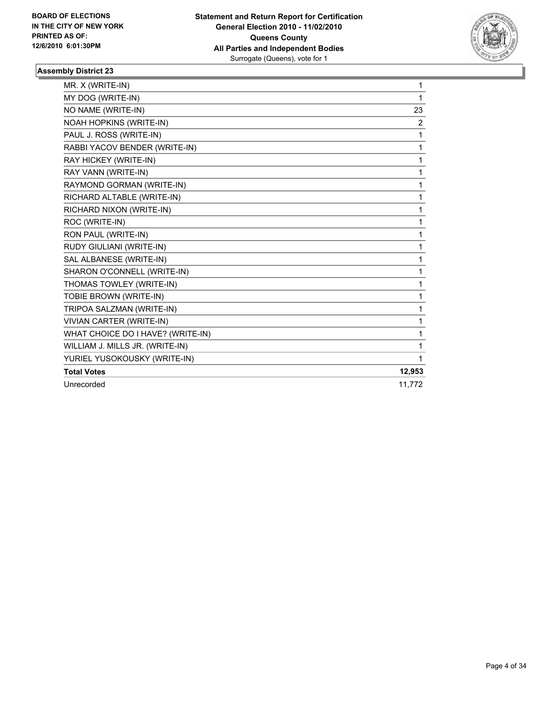

| MR. X (WRITE-IN)                  | 1      |
|-----------------------------------|--------|
| MY DOG (WRITE-IN)                 | 1      |
| NO NAME (WRITE-IN)                | 23     |
| NOAH HOPKINS (WRITE-IN)           | 2      |
| PAUL J. ROSS (WRITE-IN)           | 1      |
| RABBI YACOV BENDER (WRITE-IN)     | 1      |
| RAY HICKEY (WRITE-IN)             | 1      |
| RAY VANN (WRITE-IN)               | 1      |
| RAYMOND GORMAN (WRITE-IN)         | 1      |
| RICHARD ALTABLE (WRITE-IN)        | 1      |
| RICHARD NIXON (WRITE-IN)          | 1      |
| ROC (WRITE-IN)                    | 1      |
| RON PAUL (WRITE-IN)               | 1      |
| RUDY GIULIANI (WRITE-IN)          | 1      |
| SAL ALBANESE (WRITE-IN)           | 1      |
| SHARON O'CONNELL (WRITE-IN)       | 1      |
| THOMAS TOWLEY (WRITE-IN)          | 1      |
| TOBIE BROWN (WRITE-IN)            | 1      |
| TRIPOA SALZMAN (WRITE-IN)         | 1      |
| VIVIAN CARTER (WRITE-IN)          | 1      |
| WHAT CHOICE DO I HAVE? (WRITE-IN) | 1      |
| WILLIAM J. MILLS JR. (WRITE-IN)   | 1      |
| YURIEL YUSOKOUSKY (WRITE-IN)      | 1      |
| <b>Total Votes</b>                | 12,953 |
| Unrecorded                        | 11.772 |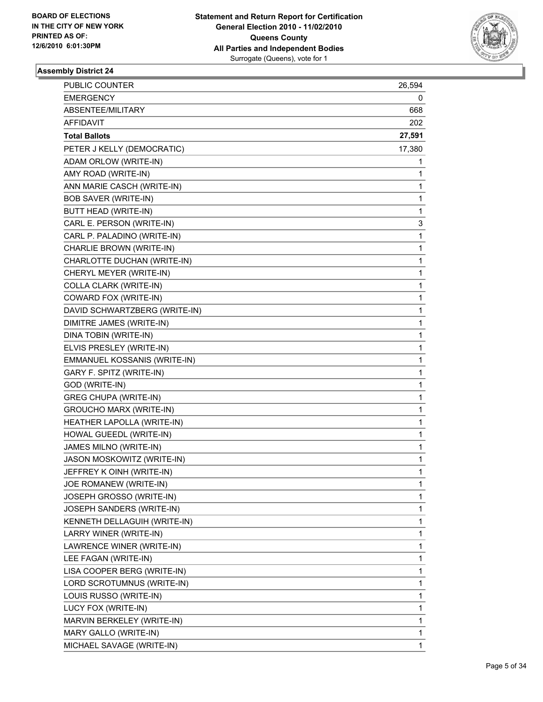

| <b>PUBLIC COUNTER</b>          | 26,594      |
|--------------------------------|-------------|
| EMERGENCY                      | 0           |
| ABSENTEE/MILITARY              | 668         |
| AFFIDAVIT                      | 202         |
| <b>Total Ballots</b>           | 27,591      |
| PETER J KELLY (DEMOCRATIC)     | 17,380      |
| ADAM ORLOW (WRITE-IN)          | 1           |
| AMY ROAD (WRITE-IN)            | 1           |
| ANN MARIE CASCH (WRITE-IN)     | 1           |
| <b>BOB SAVER (WRITE-IN)</b>    | 1           |
| BUTT HEAD (WRITE-IN)           | 1           |
| CARL E. PERSON (WRITE-IN)      | 3           |
| CARL P. PALADINO (WRITE-IN)    | 1           |
| CHARLIE BROWN (WRITE-IN)       | 1           |
| CHARLOTTE DUCHAN (WRITE-IN)    | 1           |
| CHERYL MEYER (WRITE-IN)        | 1           |
| COLLA CLARK (WRITE-IN)         | 1           |
| COWARD FOX (WRITE-IN)          | 1           |
| DAVID SCHWARTZBERG (WRITE-IN)  | 1           |
| DIMITRE JAMES (WRITE-IN)       | 1           |
| DINA TOBIN (WRITE-IN)          | 1           |
| ELVIS PRESLEY (WRITE-IN)       | 1           |
| EMMANUEL KOSSANIS (WRITE-IN)   | 1           |
| GARY F. SPITZ (WRITE-IN)       | 1           |
| GOD (WRITE-IN)                 | 1           |
| <b>GREG CHUPA (WRITE-IN)</b>   | 1           |
| <b>GROUCHO MARX (WRITE-IN)</b> | 1           |
| HEATHER LAPOLLA (WRITE-IN)     | 1           |
| HOWAL GUEEDL (WRITE-IN)        | 1           |
| JAMES MILNO (WRITE-IN)         | 1           |
| JASON MOSKOWITZ (WRITE-IN)     | 1           |
| JEFFREY K OINH (WRITE-IN)      | 1           |
| JOE ROMANEW (WRITE-IN)         | 1           |
| JOSEPH GROSSO (WRITE-IN)       | 1           |
| JOSEPH SANDERS (WRITE-IN)      | 1           |
| KENNETH DELLAGUIH (WRITE-IN)   | 1           |
| LARRY WINER (WRITE-IN)         | 1           |
| LAWRENCE WINER (WRITE-IN)      | 1           |
| LEE FAGAN (WRITE-IN)           | 1           |
| LISA COOPER BERG (WRITE-IN)    | 1           |
| LORD SCROTUMNUS (WRITE-IN)     | 1           |
| LOUIS RUSSO (WRITE-IN)         | 1           |
| LUCY FOX (WRITE-IN)            | 1           |
| MARVIN BERKELEY (WRITE-IN)     | 1           |
| MARY GALLO (WRITE-IN)          | $\mathbf 1$ |
| MICHAEL SAVAGE (WRITE-IN)      | 1           |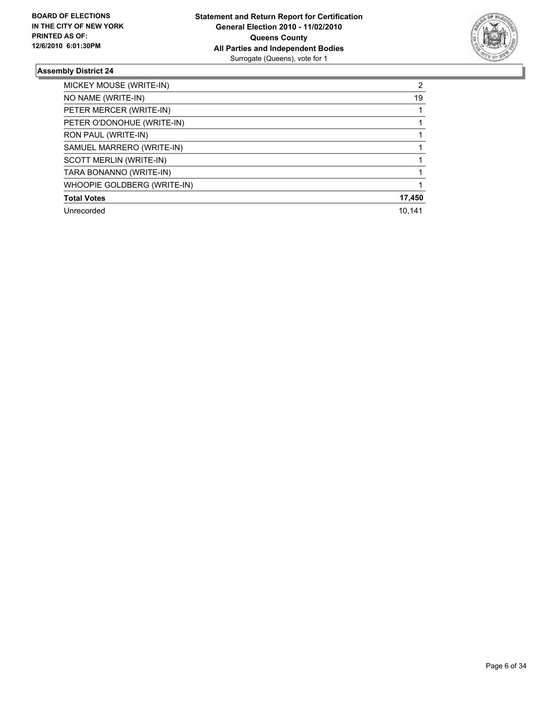

| MICKEY MOUSE (WRITE-IN)     | 2      |
|-----------------------------|--------|
| NO NAME (WRITE-IN)          | 19     |
| PETER MERCER (WRITE-IN)     |        |
| PETER O'DONOHUE (WRITE-IN)  |        |
| RON PAUL (WRITE-IN)         |        |
| SAMUEL MARRERO (WRITE-IN)   |        |
| SCOTT MERLIN (WRITE-IN)     |        |
| TARA BONANNO (WRITE-IN)     |        |
| WHOOPIE GOLDBERG (WRITE-IN) |        |
| <b>Total Votes</b>          | 17,450 |
| Unrecorded                  | 10.141 |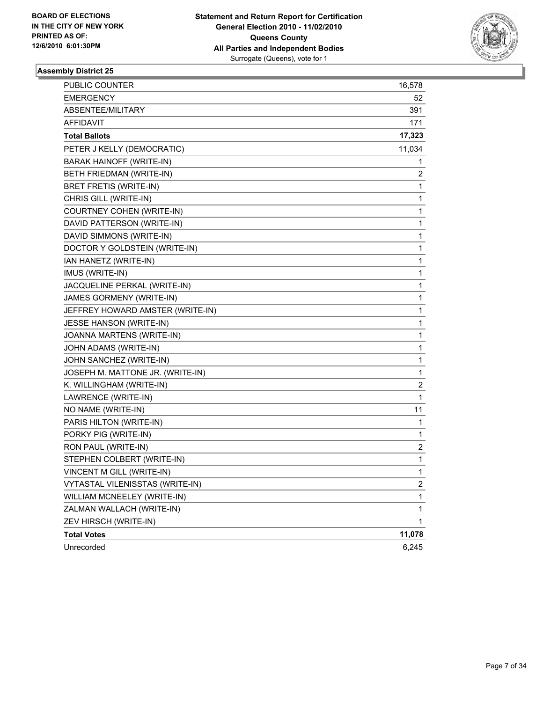

| PUBLIC COUNTER                   | 16,578       |
|----------------------------------|--------------|
| <b>EMERGENCY</b>                 | 52           |
| ABSENTEE/MILITARY                | 391          |
| AFFIDAVIT                        | 171          |
| <b>Total Ballots</b>             | 17,323       |
| PETER J KELLY (DEMOCRATIC)       | 11,034       |
| <b>BARAK HAINOFF (WRITE-IN)</b>  | 1            |
| BETH FRIEDMAN (WRITE-IN)         | 2            |
| BRET FRETIS (WRITE-IN)           | 1            |
| CHRIS GILL (WRITE-IN)            | 1            |
| COURTNEY COHEN (WRITE-IN)        | 1            |
| DAVID PATTERSON (WRITE-IN)       | 1            |
| DAVID SIMMONS (WRITE-IN)         | 1            |
| DOCTOR Y GOLDSTEIN (WRITE-IN)    | 1            |
| IAN HANETZ (WRITE-IN)            | 1            |
| IMUS (WRITE-IN)                  | 1            |
| JACQUELINE PERKAL (WRITE-IN)     | 1            |
| JAMES GORMENY (WRITE-IN)         | 1            |
| JEFFREY HOWARD AMSTER (WRITE-IN) | 1            |
| <b>JESSE HANSON (WRITE-IN)</b>   | 1            |
| JOANNA MARTENS (WRITE-IN)        | 1            |
| JOHN ADAMS (WRITE-IN)            | 1            |
| JOHN SANCHEZ (WRITE-IN)          | 1            |
| JOSEPH M. MATTONE JR. (WRITE-IN) | 1            |
| K. WILLINGHAM (WRITE-IN)         | 2            |
| LAWRENCE (WRITE-IN)              | 1            |
| NO NAME (WRITE-IN)               | 11           |
| PARIS HILTON (WRITE-IN)          | 1            |
| PORKY PIG (WRITE-IN)             | 1            |
| RON PAUL (WRITE-IN)              | 2            |
| STEPHEN COLBERT (WRITE-IN)       | 1            |
| VINCENT M GILL (WRITE-IN)        | 1            |
| VYTASTAL VILENISSTAS (WRITE-IN)  | 2            |
| WILLIAM MCNEELEY (WRITE-IN)      | 1            |
| ZALMAN WALLACH (WRITE-IN)        | 1            |
| ZEV HIRSCH (WRITE-IN)            | $\mathbf{1}$ |
| <b>Total Votes</b>               | 11,078       |
| Unrecorded                       | 6,245        |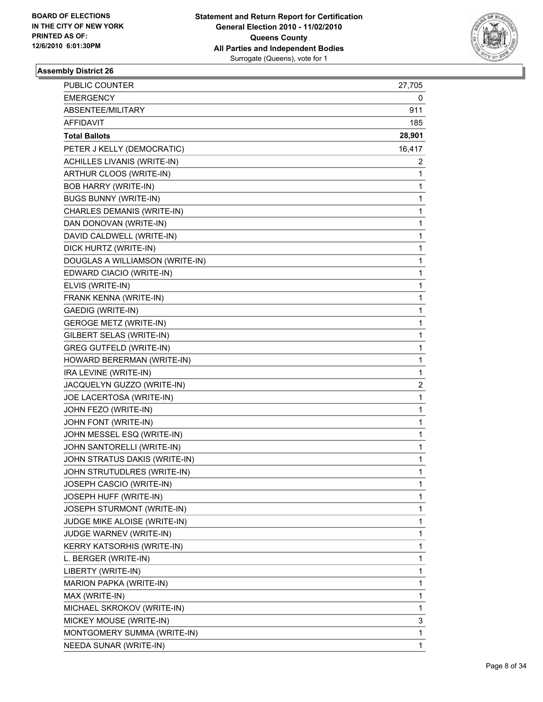

| <b>PUBLIC COUNTER</b>             | 27,705 |
|-----------------------------------|--------|
| <b>EMERGENCY</b>                  | 0      |
| ABSENTEE/MILITARY                 | 911    |
| AFFIDAVIT                         | 185    |
| <b>Total Ballots</b>              | 28,901 |
| PETER J KELLY (DEMOCRATIC)        | 16,417 |
| ACHILLES LIVANIS (WRITE-IN)       | 2      |
| ARTHUR CLOOS (WRITE-IN)           | 1      |
| <b>BOB HARRY (WRITE-IN)</b>       | 1      |
| <b>BUGS BUNNY (WRITE-IN)</b>      | 1      |
| CHARLES DEMANIS (WRITE-IN)        | 1      |
| DAN DONOVAN (WRITE-IN)            | 1      |
| DAVID CALDWELL (WRITE-IN)         | 1      |
| DICK HURTZ (WRITE-IN)             | 1      |
| DOUGLAS A WILLIAMSON (WRITE-IN)   | 1      |
| EDWARD CIACIO (WRITE-IN)          | 1      |
| ELVIS (WRITE-IN)                  | 1      |
| FRANK KENNA (WRITE-IN)            | 1      |
| <b>GAEDIG (WRITE-IN)</b>          | 1      |
| <b>GEROGE METZ (WRITE-IN)</b>     | 1      |
| GILBERT SELAS (WRITE-IN)          | 1      |
| <b>GREG GUTFELD (WRITE-IN)</b>    | 1      |
| HOWARD BERERMAN (WRITE-IN)        | 1      |
| IRA LEVINE (WRITE-IN)             | 1      |
| JACQUELYN GUZZO (WRITE-IN)        | 2      |
| JOE LACERTOSA (WRITE-IN)          | 1      |
| JOHN FEZO (WRITE-IN)              | 1      |
| JOHN FONT (WRITE-IN)              | 1      |
| JOHN MESSEL ESQ (WRITE-IN)        | 1      |
| JOHN SANTORELLI (WRITE-IN)        | 1      |
| JOHN STRATUS DAKIS (WRITE-IN)     | 1      |
| JOHN STRUTUDLRES (WRITE-IN)       | 1      |
| JOSEPH CASCIO (WRITE-IN)          | 1      |
| JOSEPH HUFF (WRITE-IN)            | 1      |
| JOSEPH STURMONT (WRITE-IN)        | 1      |
| JUDGE MIKE ALOISE (WRITE-IN)      | 1      |
| JUDGE WARNEV (WRITE-IN)           | 1      |
| <b>KERRY KATSORHIS (WRITE-IN)</b> | 1      |
| L. BERGER (WRITE-IN)              | 1      |
| LIBERTY (WRITE-IN)                | 1      |
| MARION PAPKA (WRITE-IN)           | 1      |
| MAX (WRITE-IN)                    | 1      |
| MICHAEL SKROKOV (WRITE-IN)        | 1      |
| MICKEY MOUSE (WRITE-IN)           | 3      |
| MONTGOMERY SUMMA (WRITE-IN)       | 1      |
| NEEDA SUNAR (WRITE-IN)            | 1      |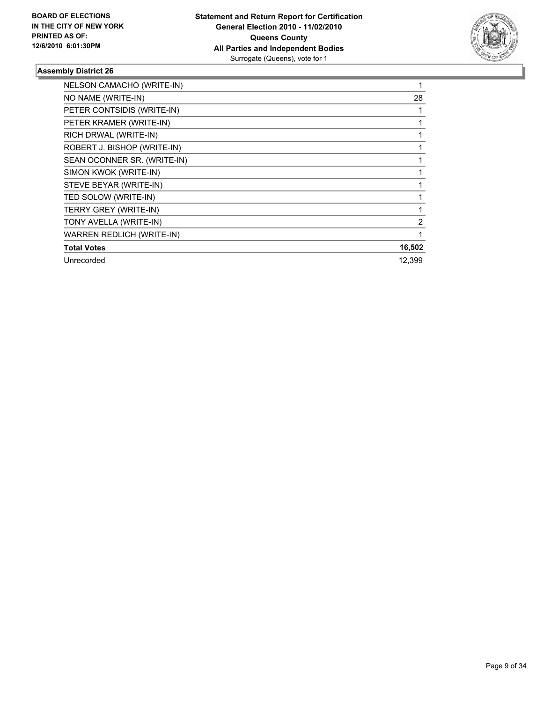

| NELSON CAMACHO (WRITE-IN)        | 1      |
|----------------------------------|--------|
| NO NAME (WRITE-IN)               | 28     |
| PETER CONTSIDIS (WRITE-IN)       | 1      |
| PETER KRAMER (WRITE-IN)          | 1      |
| RICH DRWAL (WRITE-IN)            | 1      |
| ROBERT J. BISHOP (WRITE-IN)      | 1      |
| SEAN OCONNER SR. (WRITE-IN)      |        |
| SIMON KWOK (WRITE-IN)            |        |
| STEVE BEYAR (WRITE-IN)           |        |
| TED SOLOW (WRITE-IN)             |        |
| TERRY GREY (WRITE-IN)            |        |
| TONY AVELLA (WRITE-IN)           | 2      |
| <b>WARREN REDLICH (WRITE-IN)</b> | 1      |
| <b>Total Votes</b>               | 16,502 |
| Unrecorded                       | 12.399 |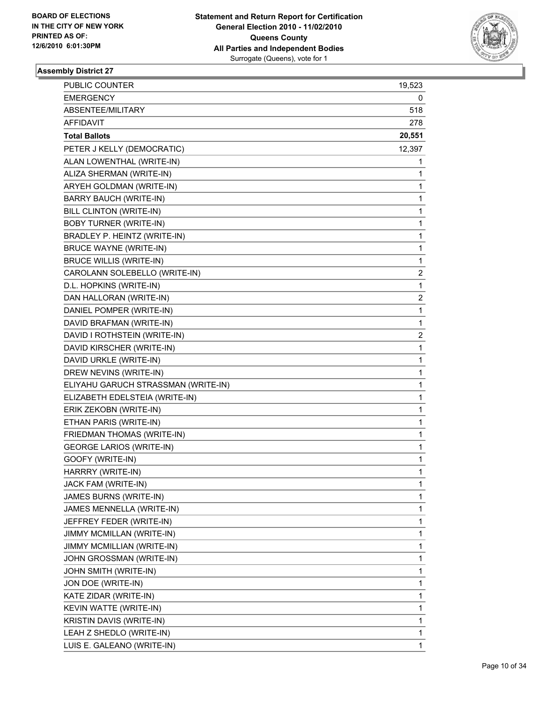

| PUBLIC COUNTER                      | 19,523 |
|-------------------------------------|--------|
| <b>EMERGENCY</b>                    | 0      |
| ABSENTEE/MILITARY                   | 518    |
| AFFIDAVIT                           | 278    |
| <b>Total Ballots</b>                | 20,551 |
| PETER J KELLY (DEMOCRATIC)          | 12,397 |
| ALAN LOWENTHAL (WRITE-IN)           | 1      |
| ALIZA SHERMAN (WRITE-IN)            | 1      |
| ARYEH GOLDMAN (WRITE-IN)            | 1      |
| <b>BARRY BAUCH (WRITE-IN)</b>       | 1      |
| BILL CLINTON (WRITE-IN)             | 1      |
| <b>BOBY TURNER (WRITE-IN)</b>       | 1      |
| BRADLEY P. HEINTZ (WRITE-IN)        | 1      |
| <b>BRUCE WAYNE (WRITE-IN)</b>       | 1      |
| <b>BRUCE WILLIS (WRITE-IN)</b>      | 1      |
| CAROLANN SOLEBELLO (WRITE-IN)       | 2      |
| D.L. HOPKINS (WRITE-IN)             | 1      |
| DAN HALLORAN (WRITE-IN)             | 2      |
| DANIEL POMPER (WRITE-IN)            | 1      |
| DAVID BRAFMAN (WRITE-IN)            | 1      |
| DAVID I ROTHSTEIN (WRITE-IN)        | 2      |
| DAVID KIRSCHER (WRITE-IN)           | 1      |
| DAVID URKLE (WRITE-IN)              | 1      |
| DREW NEVINS (WRITE-IN)              | 1      |
| ELIYAHU GARUCH STRASSMAN (WRITE-IN) | 1      |
| ELIZABETH EDELSTEIA (WRITE-IN)      | 1      |
| ERIK ZEKOBN (WRITE-IN)              | 1      |
| ETHAN PARIS (WRITE-IN)              | 1      |
| FRIEDMAN THOMAS (WRITE-IN)          | 1      |
| <b>GEORGE LARIOS (WRITE-IN)</b>     | 1      |
| GOOFY (WRITE-IN)                    | 1      |
| HARRRY (WRITE-IN)                   | 1      |
| JACK FAM (WRITE-IN)                 | 1      |
| JAMES BURNS (WRITE-IN)              | 1      |
| JAMES MENNELLA (WRITE-IN)           | 1      |
| JEFFREY FEDER (WRITE-IN)            | 1      |
| JIMMY MCMILLAN (WRITE-IN)           | 1      |
| JIMMY MCMILLIAN (WRITE-IN)          | 1      |
| JOHN GROSSMAN (WRITE-IN)            | 1      |
| JOHN SMITH (WRITE-IN)               | 1      |
| JON DOE (WRITE-IN)                  | 1      |
| KATE ZIDAR (WRITE-IN)               | 1      |
| KEVIN WATTE (WRITE-IN)              | 1      |
| KRISTIN DAVIS (WRITE-IN)            | 1      |
| LEAH Z SHEDLO (WRITE-IN)            | 1      |
| LUIS E. GALEANO (WRITE-IN)          | 1      |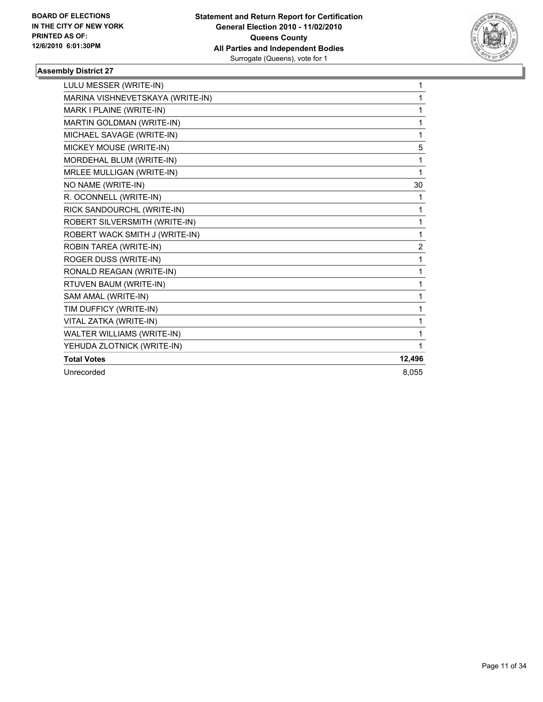

| LULU MESSER (WRITE-IN)           | 1              |
|----------------------------------|----------------|
| MARINA VISHNEVETSKAYA (WRITE-IN) | 1              |
| MARK I PLAINE (WRITE-IN)         | 1              |
| MARTIN GOLDMAN (WRITE-IN)        | 1              |
| MICHAEL SAVAGE (WRITE-IN)        | 1              |
| MICKEY MOUSE (WRITE-IN)          | 5              |
| MORDEHAL BLUM (WRITE-IN)         | 1              |
| MRLEE MULLIGAN (WRITE-IN)        | 1              |
| NO NAME (WRITE-IN)               | 30             |
| R. OCONNELL (WRITE-IN)           | 1              |
| RICK SANDOURCHL (WRITE-IN)       | 1              |
| ROBERT SILVERSMITH (WRITE-IN)    | 1              |
| ROBERT WACK SMITH J (WRITE-IN)   | 1              |
| ROBIN TAREA (WRITE-IN)           | $\overline{c}$ |
| ROGER DUSS (WRITE-IN)            | 1              |
| RONALD REAGAN (WRITE-IN)         | 1              |
| RTUVEN BAUM (WRITE-IN)           | 1              |
| SAM AMAL (WRITE-IN)              | 1              |
| TIM DUFFICY (WRITE-IN)           | 1              |
| VITAL ZATKA (WRITE-IN)           | 1              |
| WALTER WILLIAMS (WRITE-IN)       | 1              |
| YEHUDA ZLOTNICK (WRITE-IN)       | 1              |
| <b>Total Votes</b>               | 12,496         |
| Unrecorded                       | 8.055          |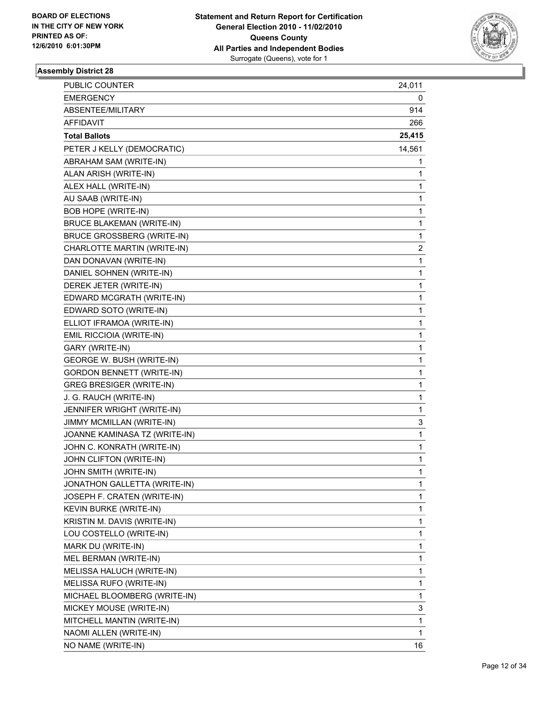

| <b>PUBLIC COUNTER</b>             | 24,011       |
|-----------------------------------|--------------|
| <b>EMERGENCY</b>                  | 0            |
| ABSENTEE/MILITARY                 | 914          |
| AFFIDAVIT                         | 266          |
| <b>Total Ballots</b>              | 25,415       |
| PETER J KELLY (DEMOCRATIC)        | 14,561       |
| ABRAHAM SAM (WRITE-IN)            | 1            |
| ALAN ARISH (WRITE-IN)             | $\mathbf 1$  |
| ALEX HALL (WRITE-IN)              | 1            |
| AU SAAB (WRITE-IN)                | 1            |
| <b>BOB HOPE (WRITE-IN)</b>        | 1            |
| <b>BRUCE BLAKEMAN (WRITE-IN)</b>  | 1            |
| <b>BRUCE GROSSBERG (WRITE-IN)</b> | 1            |
| CHARLOTTE MARTIN (WRITE-IN)       | 2            |
| DAN DONAVAN (WRITE-IN)            | 1            |
| DANIEL SOHNEN (WRITE-IN)          | 1            |
| DEREK JETER (WRITE-IN)            | 1            |
| EDWARD MCGRATH (WRITE-IN)         | 1            |
| EDWARD SOTO (WRITE-IN)            | 1            |
| ELLIOT IFRAMOA (WRITE-IN)         | 1            |
| EMIL RICCIOIA (WRITE-IN)          | 1            |
| GARY (WRITE-IN)                   | 1            |
| GEORGE W. BUSH (WRITE-IN)         | 1            |
| <b>GORDON BENNETT (WRITE-IN)</b>  | 1            |
| <b>GREG BRESIGER (WRITE-IN)</b>   | 1            |
| J. G. RAUCH (WRITE-IN)            | 1            |
| JENNIFER WRIGHT (WRITE-IN)        | 1            |
| JIMMY MCMILLAN (WRITE-IN)         | 3            |
| JOANNE KAMINASA TZ (WRITE-IN)     | 1            |
| JOHN C. KONRATH (WRITE-IN)        | 1            |
| JOHN CLIFTON (WRITE-IN)           | 1            |
| JOHN SMITH (WRITE-IN)             | $\mathbf{1}$ |
| JONATHON GALLETTA (WRITE-IN)      | 1            |
| JOSEPH F. CRATEN (WRITE-IN)       | 1            |
| KEVIN BURKE (WRITE-IN)            | $\mathbf{1}$ |
| KRISTIN M. DAVIS (WRITE-IN)       | 1            |
| LOU COSTELLO (WRITE-IN)           | 1            |
| MARK DU (WRITE-IN)                | 1            |
| MEL BERMAN (WRITE-IN)             | 1            |
| MELISSA HALUCH (WRITE-IN)         | 1            |
| MELISSA RUFO (WRITE-IN)           | 1            |
| MICHAEL BLOOMBERG (WRITE-IN)      | 1            |
| MICKEY MOUSE (WRITE-IN)           | 3            |
| MITCHELL MANTIN (WRITE-IN)        | 1            |
| NAOMI ALLEN (WRITE-IN)            | 1            |
| NO NAME (WRITE-IN)                | 16           |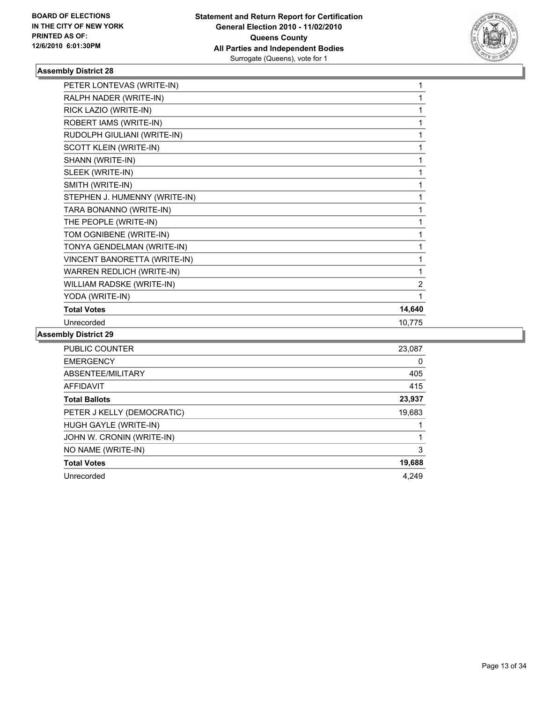

| PETER LONTEVAS (WRITE-IN)     | 1      |
|-------------------------------|--------|
| RALPH NADER (WRITE-IN)        | 1      |
| RICK LAZIO (WRITE-IN)         | 1      |
| ROBERT IAMS (WRITE-IN)        | 1      |
| RUDOLPH GIULIANI (WRITE-IN)   | 1      |
| <b>SCOTT KLEIN (WRITE-IN)</b> | 1      |
| SHANN (WRITE-IN)              | 1      |
| SLEEK (WRITE-IN)              | 1      |
| SMITH (WRITE-IN)              | 1      |
| STEPHEN J. HUMENNY (WRITE-IN) | 1      |
| TARA BONANNO (WRITE-IN)       | 1      |
| THE PEOPLE (WRITE-IN)         | 1      |
| TOM OGNIBENE (WRITE-IN)       | 1      |
| TONYA GENDELMAN (WRITE-IN)    | 1      |
| VINCENT BANORETTA (WRITE-IN)  | 1      |
| WARREN REDLICH (WRITE-IN)     | 1      |
| WILLIAM RADSKE (WRITE-IN)     | 2      |
| YODA (WRITE-IN)               | 1      |
| <b>Total Votes</b>            | 14,640 |
| Unrecorded                    | 10,775 |
|                               |        |

| <b>PUBLIC COUNTER</b>      | 23,087 |
|----------------------------|--------|
| <b>EMERGENCY</b>           | 0      |
| ABSENTEE/MILITARY          | 405    |
| AFFIDAVIT                  | 415    |
| <b>Total Ballots</b>       | 23,937 |
| PETER J KELLY (DEMOCRATIC) | 19,683 |
| HUGH GAYLE (WRITE-IN)      |        |
| JOHN W. CRONIN (WRITE-IN)  |        |
| NO NAME (WRITE-IN)         | 3      |
| <b>Total Votes</b>         | 19,688 |
| Unrecorded                 | 4.249  |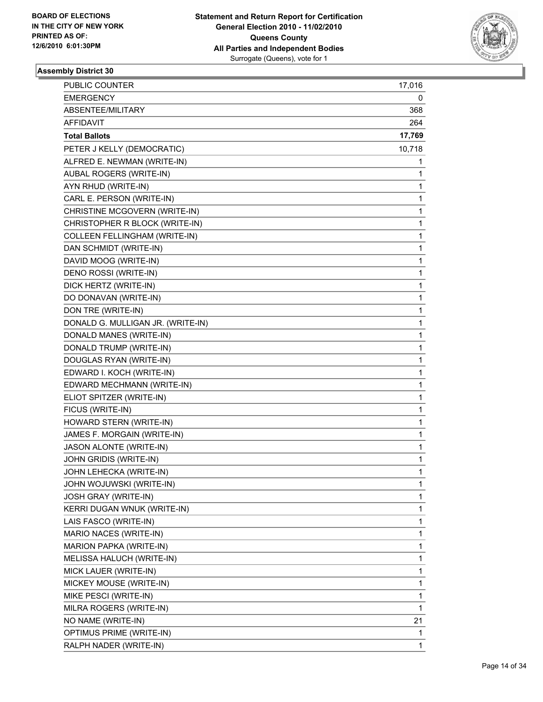

| <b>PUBLIC COUNTER</b>                | 17,016 |
|--------------------------------------|--------|
| <b>EMERGENCY</b>                     | 0      |
| ABSENTEE/MILITARY                    | 368    |
| <b>AFFIDAVIT</b>                     | 264    |
| <b>Total Ballots</b>                 | 17,769 |
| PETER J KELLY (DEMOCRATIC)           | 10,718 |
| ALFRED E. NEWMAN (WRITE-IN)          | 1      |
| AUBAL ROGERS (WRITE-IN)              | 1      |
| AYN RHUD (WRITE-IN)                  | 1      |
| CARL E. PERSON (WRITE-IN)            | 1      |
| CHRISTINE MCGOVERN (WRITE-IN)        | 1      |
| CHRISTOPHER R BLOCK (WRITE-IN)       | 1      |
| <b>COLLEEN FELLINGHAM (WRITE-IN)</b> | 1      |
| DAN SCHMIDT (WRITE-IN)               | 1      |
| DAVID MOOG (WRITE-IN)                | 1      |
| DENO ROSSI (WRITE-IN)                | 1      |
| DICK HERTZ (WRITE-IN)                | 1      |
| DO DONAVAN (WRITE-IN)                | 1      |
| DON TRE (WRITE-IN)                   | 1      |
| DONALD G. MULLIGAN JR. (WRITE-IN)    | 1      |
| DONALD MANES (WRITE-IN)              | 1      |
| DONALD TRUMP (WRITE-IN)              | 1      |
| DOUGLAS RYAN (WRITE-IN)              | 1      |
| EDWARD I. KOCH (WRITE-IN)            | 1      |
| EDWARD MECHMANN (WRITE-IN)           | 1      |
| ELIOT SPITZER (WRITE-IN)             | 1      |
| FICUS (WRITE-IN)                     | 1      |
| HOWARD STERN (WRITE-IN)              | 1      |
| JAMES F. MORGAIN (WRITE-IN)          | 1      |
| JASON ALONTE (WRITE-IN)              | 1      |
| JOHN GRIDIS (WRITE-IN)               | 1      |
| JOHN LEHECKA (WRITE-IN)              | 1      |
| JOHN WOJUWSKI (WRITE-IN)             | 1      |
| <b>JOSH GRAY (WRITE-IN)</b>          | 1      |
| KERRI DUGAN WNUK (WRITE-IN)          | 1      |
| LAIS FASCO (WRITE-IN)                | 1      |
| MARIO NACES (WRITE-IN)               | 1      |
| MARION PAPKA (WRITE-IN)              | 1      |
| MELISSA HALUCH (WRITE-IN)            | 1      |
| MICK LAUER (WRITE-IN)                | 1      |
| MICKEY MOUSE (WRITE-IN)              | 1      |
| MIKE PESCI (WRITE-IN)                | 1      |
| MILRA ROGERS (WRITE-IN)              | 1      |
| NO NAME (WRITE-IN)                   | 21     |
| OPTIMUS PRIME (WRITE-IN)             | 1      |
| RALPH NADER (WRITE-IN)               | 1      |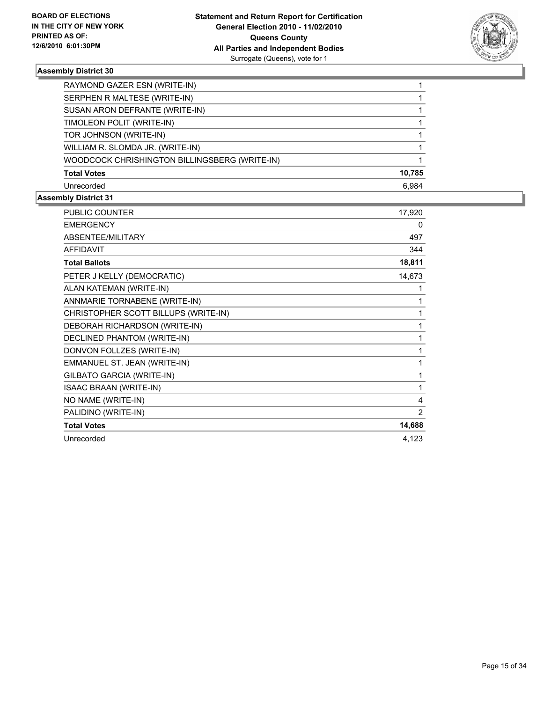

| RAYMOND GAZER ESN (WRITE-IN)                  |        |
|-----------------------------------------------|--------|
| SERPHEN R MALTESE (WRITE-IN)                  |        |
| SUSAN ARON DEFRANTE (WRITE-IN)                |        |
| TIMOLEON POLIT (WRITE-IN)                     |        |
| TOR JOHNSON (WRITE-IN)                        |        |
| WILLIAM R. SLOMDA JR. (WRITE-IN)              |        |
| WOODCOCK CHRISHINGTON BILLINGSBERG (WRITE-IN) |        |
| <b>Total Votes</b>                            | 10.785 |
| Unrecorded                                    | 6.984  |

| <b>PUBLIC COUNTER</b>                | 17,920 |
|--------------------------------------|--------|
| <b>EMERGENCY</b>                     | 0      |
| ABSENTEE/MILITARY                    | 497    |
| <b>AFFIDAVIT</b>                     | 344    |
| <b>Total Ballots</b>                 | 18,811 |
| PETER J KELLY (DEMOCRATIC)           | 14,673 |
| ALAN KATEMAN (WRITE-IN)              | 1      |
| ANNMARIE TORNABENE (WRITE-IN)        | 1      |
| CHRISTOPHER SCOTT BILLUPS (WRITE-IN) | 1      |
| DEBORAH RICHARDSON (WRITE-IN)        | 1      |
| DECLINED PHANTOM (WRITE-IN)          | 1      |
| DONVON FOLLZES (WRITE-IN)            |        |
| EMMANUEL ST. JEAN (WRITE-IN)         | 1      |
| GILBATO GARCIA (WRITE-IN)            | 1      |
| <b>ISAAC BRAAN (WRITE-IN)</b>        | 1      |
| NO NAME (WRITE-IN)                   | 4      |
| PALIDINO (WRITE-IN)                  | 2      |
| <b>Total Votes</b>                   | 14,688 |
| Unrecorded                           | 4,123  |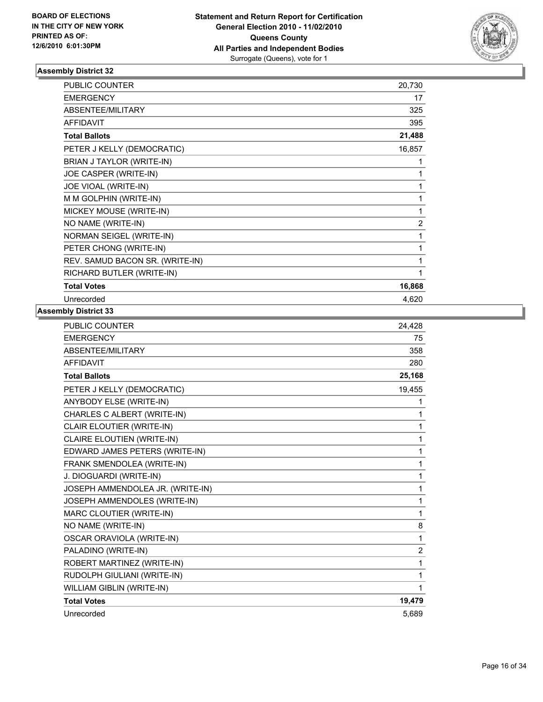

| <b>PUBLIC COUNTER</b>           | 20,730         |
|---------------------------------|----------------|
| <b>EMERGENCY</b>                | 17             |
| ABSENTEE/MILITARY               | 325            |
| <b>AFFIDAVIT</b>                | 395            |
| <b>Total Ballots</b>            | 21,488         |
| PETER J KELLY (DEMOCRATIC)      | 16,857         |
| BRIAN J TAYLOR (WRITE-IN)       | 1              |
| JOE CASPER (WRITE-IN)           | 1              |
| JOE VIOAL (WRITE-IN)            | 1              |
| M M GOLPHIN (WRITE-IN)          | 1              |
| MICKEY MOUSE (WRITE-IN)         | 1              |
| NO NAME (WRITE-IN)              | $\overline{2}$ |
| NORMAN SEIGEL (WRITE-IN)        | 1              |
| PETER CHONG (WRITE-IN)          | 1              |
| REV. SAMUD BACON SR. (WRITE-IN) | 1              |
| RICHARD BUTLER (WRITE-IN)       | 1              |
| <b>Total Votes</b>              | 16,868         |
| Unrecorded                      | 4,620          |

| <b>PUBLIC COUNTER</b>            | 24,428         |
|----------------------------------|----------------|
| <b>EMERGENCY</b>                 | 75             |
| ABSENTEE/MILITARY                | 358            |
| <b>AFFIDAVIT</b>                 | 280            |
| <b>Total Ballots</b>             | 25,168         |
| PETER J KELLY (DEMOCRATIC)       | 19,455         |
| ANYBODY ELSE (WRITE-IN)          | 1              |
| CHARLES C ALBERT (WRITE-IN)      | 1              |
| CLAIR ELOUTIER (WRITE-IN)        | 1              |
| CLAIRE ELOUTIEN (WRITE-IN)       | 1              |
| EDWARD JAMES PETERS (WRITE-IN)   | 1              |
| FRANK SMENDOLEA (WRITE-IN)       | $\mathbf{1}$   |
| J. DIOGUARDI (WRITE-IN)          | 1              |
| JOSEPH AMMENDOLEA JR. (WRITE-IN) | $\mathbf{1}$   |
| JOSEPH AMMENDOLES (WRITE-IN)     | 1              |
| MARC CLOUTIER (WRITE-IN)         | $\mathbf{1}$   |
| NO NAME (WRITE-IN)               | 8              |
| OSCAR ORAVIOLA (WRITE-IN)        | $\mathbf{1}$   |
| PALADINO (WRITE-IN)              | $\overline{2}$ |
| ROBERT MARTINEZ (WRITE-IN)       | 1              |
| RUDOLPH GIULIANI (WRITE-IN)      | $\mathbf{1}$   |
| WILLIAM GIBLIN (WRITE-IN)        | 1              |
| <b>Total Votes</b>               | 19,479         |
| Unrecorded                       | 5,689          |
|                                  |                |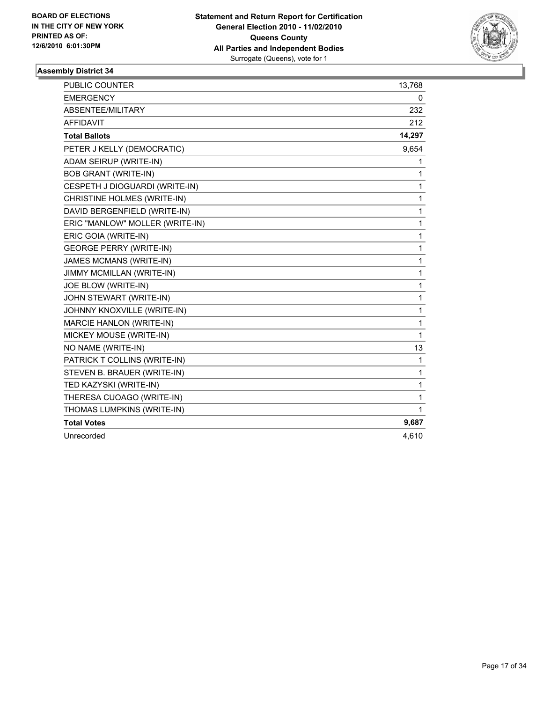

| <b>PUBLIC COUNTER</b>           | 13,768       |
|---------------------------------|--------------|
| <b>EMERGENCY</b>                | 0            |
| ABSENTEE/MILITARY               | 232          |
| <b>AFFIDAVIT</b>                | 212          |
| <b>Total Ballots</b>            | 14,297       |
| PETER J KELLY (DEMOCRATIC)      | 9,654        |
| ADAM SEIRUP (WRITE-IN)          | 1            |
| <b>BOB GRANT (WRITE-IN)</b>     | $\mathbf{1}$ |
| CESPETH J DIOGUARDI (WRITE-IN)  | $\mathbf{1}$ |
| CHRISTINE HOLMES (WRITE-IN)     | $\mathbf{1}$ |
| DAVID BERGENFIELD (WRITE-IN)    | 1            |
| ERIC "MANLOW" MOLLER (WRITE-IN) | $\mathbf{1}$ |
| ERIC GOIA (WRITE-IN)            | 1            |
| <b>GEORGE PERRY (WRITE-IN)</b>  | 1            |
| <b>JAMES MCMANS (WRITE-IN)</b>  | 1            |
| JIMMY MCMILLAN (WRITE-IN)       | $\mathbf{1}$ |
| JOE BLOW (WRITE-IN)             | 1            |
| JOHN STEWART (WRITE-IN)         | 1            |
| JOHNNY KNOXVILLE (WRITE-IN)     | 1            |
| MARCIE HANLON (WRITE-IN)        | 1            |
| MICKEY MOUSE (WRITE-IN)         | $\mathbf{1}$ |
| NO NAME (WRITE-IN)              | 13           |
| PATRICK T COLLINS (WRITE-IN)    | 1            |
| STEVEN B. BRAUER (WRITE-IN)     | 1            |
| TED KAZYSKI (WRITE-IN)          | $\mathbf{1}$ |
| THERESA CUOAGO (WRITE-IN)       | 1            |
| THOMAS LUMPKINS (WRITE-IN)      | 1            |
| <b>Total Votes</b>              | 9,687        |
| Unrecorded                      | 4,610        |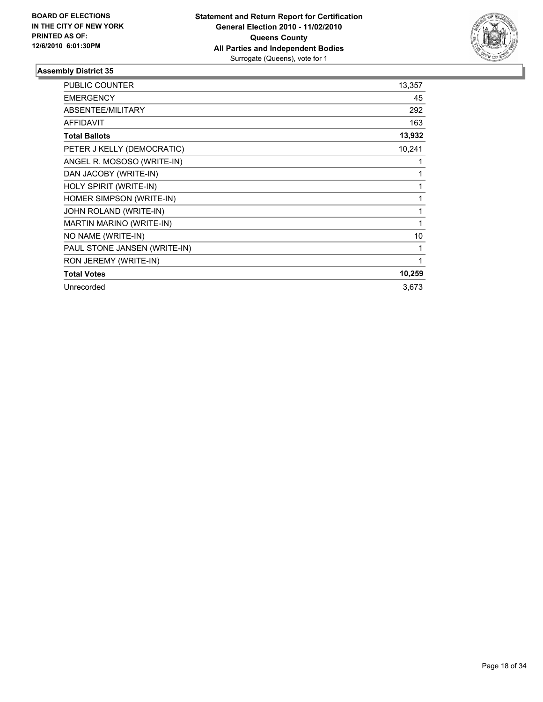

| <b>PUBLIC COUNTER</b>        | 13,357 |
|------------------------------|--------|
| <b>EMERGENCY</b>             | 45     |
| ABSENTEE/MILITARY            | 292    |
| <b>AFFIDAVIT</b>             | 163    |
| <b>Total Ballots</b>         | 13,932 |
| PETER J KELLY (DEMOCRATIC)   | 10,241 |
| ANGEL R. MOSOSO (WRITE-IN)   | 1      |
| DAN JACOBY (WRITE-IN)        | 1      |
| HOLY SPIRIT (WRITE-IN)       | 1      |
| HOMER SIMPSON (WRITE-IN)     | 1      |
| JOHN ROLAND (WRITE-IN)       | 1      |
| MARTIN MARINO (WRITE-IN)     | 1      |
| NO NAME (WRITE-IN)           | 10     |
| PAUL STONE JANSEN (WRITE-IN) | 1      |
| RON JEREMY (WRITE-IN)        | 1      |
| <b>Total Votes</b>           | 10,259 |
| Unrecorded                   | 3,673  |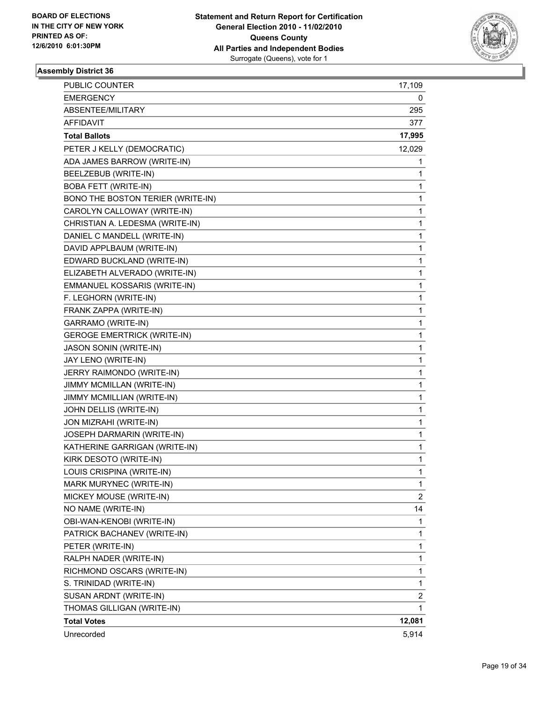

| <b>PUBLIC COUNTER</b>              | 17,109         |
|------------------------------------|----------------|
| <b>EMERGENCY</b>                   | 0              |
| ABSENTEE/MILITARY                  | 295            |
| <b>AFFIDAVIT</b>                   | 377            |
| <b>Total Ballots</b>               | 17,995         |
| PETER J KELLY (DEMOCRATIC)         | 12,029         |
| ADA JAMES BARROW (WRITE-IN)        | 1              |
| BEELZEBUB (WRITE-IN)               | 1              |
| <b>BOBA FETT (WRITE-IN)</b>        | 1              |
| BONO THE BOSTON TERIER (WRITE-IN)  | 1              |
| CAROLYN CALLOWAY (WRITE-IN)        | 1              |
| CHRISTIAN A. LEDESMA (WRITE-IN)    | 1              |
| DANIEL C MANDELL (WRITE-IN)        | 1              |
| DAVID APPLBAUM (WRITE-IN)          | 1              |
| EDWARD BUCKLAND (WRITE-IN)         | 1              |
| ELIZABETH ALVERADO (WRITE-IN)      | 1              |
| EMMANUEL KOSSARIS (WRITE-IN)       | 1              |
| F. LEGHORN (WRITE-IN)              | 1              |
| FRANK ZAPPA (WRITE-IN)             | 1              |
| GARRAMO (WRITE-IN)                 | 1              |
| <b>GEROGE EMERTRICK (WRITE-IN)</b> | 1              |
| JASON SONIN (WRITE-IN)             | 1              |
| JAY LENO (WRITE-IN)                | 1              |
| JERRY RAIMONDO (WRITE-IN)          | 1              |
| JIMMY MCMILLAN (WRITE-IN)          | 1              |
| JIMMY MCMILLIAN (WRITE-IN)         | 1              |
| JOHN DELLIS (WRITE-IN)             | 1              |
| JON MIZRAHI (WRITE-IN)             | 1              |
| JOSEPH DARMARIN (WRITE-IN)         | 1              |
| KATHERINE GARRIGAN (WRITE-IN)      | 1              |
| KIRK DESOTO (WRITE-IN)             | 1              |
| LOUIS CRISPINA (WRITE-IN)          | 1              |
| MARK MURYNEC (WRITE-IN)            | 1              |
| MICKEY MOUSE (WRITE-IN)            | $\overline{c}$ |
| NO NAME (WRITE-IN)                 | 14             |
| OBI-WAN-KENOBI (WRITE-IN)          | 1              |
| PATRICK BACHANEV (WRITE-IN)        | 1              |
| PETER (WRITE-IN)                   | 1              |
| RALPH NADER (WRITE-IN)             | 1              |
| RICHMOND OSCARS (WRITE-IN)         | 1              |
| S. TRINIDAD (WRITE-IN)             | 1              |
| SUSAN ARDNT (WRITE-IN)             | 2              |
| THOMAS GILLIGAN (WRITE-IN)         | 1              |
| <b>Total Votes</b>                 | 12,081         |
| Unrecorded                         | 5,914          |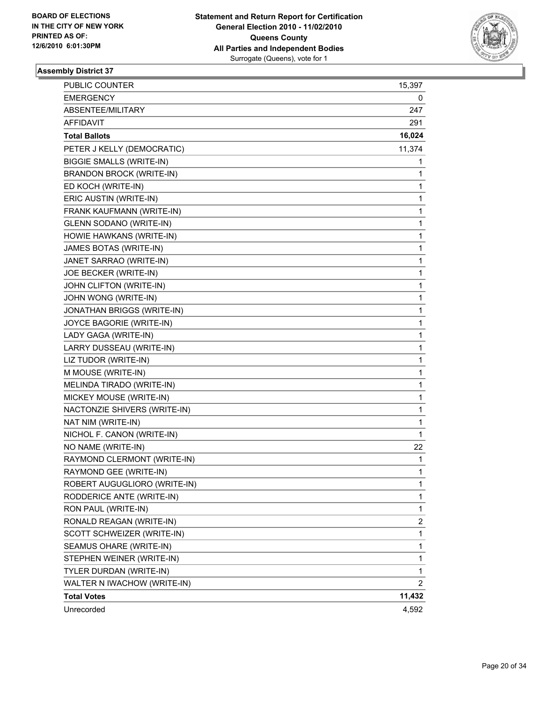

| <b>PUBLIC COUNTER</b>           | 15,397                  |
|---------------------------------|-------------------------|
| <b>EMERGENCY</b>                | 0                       |
| ABSENTEE/MILITARY               | 247                     |
| <b>AFFIDAVIT</b>                | 291                     |
| <b>Total Ballots</b>            | 16,024                  |
| PETER J KELLY (DEMOCRATIC)      | 11,374                  |
| <b>BIGGIE SMALLS (WRITE-IN)</b> | 1                       |
| <b>BRANDON BROCK (WRITE-IN)</b> | 1                       |
| ED KOCH (WRITE-IN)              | 1                       |
| ERIC AUSTIN (WRITE-IN)          | 1                       |
| FRANK KAUFMANN (WRITE-IN)       | 1                       |
| <b>GLENN SODANO (WRITE-IN)</b>  | 1                       |
| HOWIE HAWKANS (WRITE-IN)        | 1                       |
| JAMES BOTAS (WRITE-IN)          | 1                       |
| JANET SARRAO (WRITE-IN)         | 1                       |
| JOE BECKER (WRITE-IN)           | 1                       |
| JOHN CLIFTON (WRITE-IN)         | 1                       |
| JOHN WONG (WRITE-IN)            | 1                       |
| JONATHAN BRIGGS (WRITE-IN)      | 1                       |
| JOYCE BAGORIE (WRITE-IN)        | 1                       |
| LADY GAGA (WRITE-IN)            | 1                       |
| LARRY DUSSEAU (WRITE-IN)        | 1                       |
| LIZ TUDOR (WRITE-IN)            | 1                       |
| M MOUSE (WRITE-IN)              | 1                       |
| MELINDA TIRADO (WRITE-IN)       | 1                       |
| MICKEY MOUSE (WRITE-IN)         | 1                       |
| NACTONZIE SHIVERS (WRITE-IN)    | 1                       |
| NAT NIM (WRITE-IN)              | 1                       |
| NICHOL F. CANON (WRITE-IN)      | 1                       |
| NO NAME (WRITE-IN)              | 22                      |
| RAYMOND CLERMONT (WRITE-IN)     | 1                       |
| RAYMOND GEE (WRITE-IN)          | 1                       |
| ROBERT AUGUGLIORO (WRITE-IN)    | 1                       |
| RODDERICE ANTE (WRITE-IN)       | 1                       |
| RON PAUL (WRITE-IN)             | 1                       |
| RONALD REAGAN (WRITE-IN)        | $\overline{\mathbf{c}}$ |
| SCOTT SCHWEIZER (WRITE-IN)      | $\mathbf{1}$            |
| SEAMUS OHARE (WRITE-IN)         | 1                       |
| STEPHEN WEINER (WRITE-IN)       | 1                       |
| TYLER DURDAN (WRITE-IN)         | 1                       |
| WALTER N IWACHOW (WRITE-IN)     | $\overline{2}$          |
| <b>Total Votes</b>              | 11,432                  |
| Unrecorded                      | 4,592                   |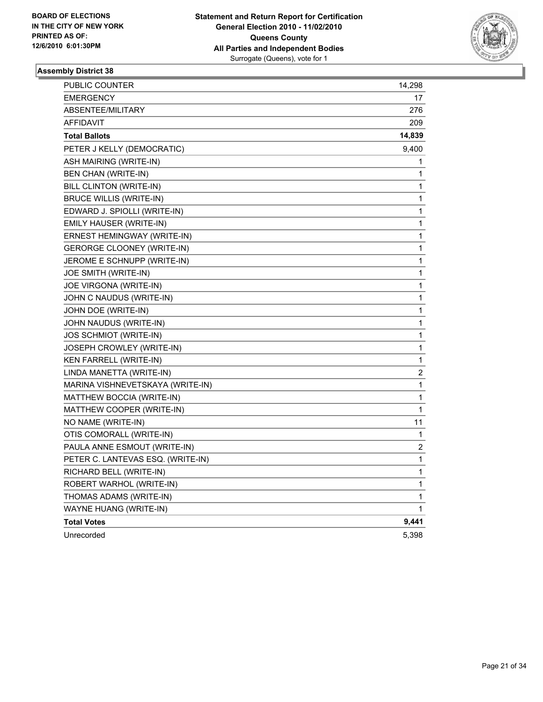

| PUBLIC COUNTER                    | 14,298                  |
|-----------------------------------|-------------------------|
| <b>EMERGENCY</b>                  | 17                      |
| ABSENTEE/MILITARY                 | 276                     |
| AFFIDAVIT                         | 209                     |
| <b>Total Ballots</b>              | 14,839                  |
| PETER J KELLY (DEMOCRATIC)        | 9,400                   |
| ASH MAIRING (WRITE-IN)            | 1                       |
| BEN CHAN (WRITE-IN)               | 1                       |
| BILL CLINTON (WRITE-IN)           | 1                       |
| BRUCE WILLIS (WRITE-IN)           | 1                       |
| EDWARD J. SPIOLLI (WRITE-IN)      | 1                       |
| EMILY HAUSER (WRITE-IN)           | 1                       |
| ERNEST HEMINGWAY (WRITE-IN)       | 1                       |
| GERORGE CLOONEY (WRITE-IN)        | 1                       |
| JEROME E SCHNUPP (WRITE-IN)       | 1                       |
| JOE SMITH (WRITE-IN)              | 1                       |
| JOE VIRGONA (WRITE-IN)            | 1                       |
| JOHN C NAUDUS (WRITE-IN)          | 1                       |
| JOHN DOE (WRITE-IN)               | 1                       |
| JOHN NAUDUS (WRITE-IN)            | 1                       |
| JOS SCHMIOT (WRITE-IN)            | 1                       |
| JOSEPH CROWLEY (WRITE-IN)         | 1                       |
| <b>KEN FARRELL (WRITE-IN)</b>     | 1                       |
| LINDA MANETTA (WRITE-IN)          | $\overline{\mathbf{c}}$ |
| MARINA VISHNEVETSKAYA (WRITE-IN)  | 1                       |
| MATTHEW BOCCIA (WRITE-IN)         | 1                       |
| MATTHEW COOPER (WRITE-IN)         | 1                       |
| NO NAME (WRITE-IN)                | 11                      |
| OTIS COMORALL (WRITE-IN)          | 1                       |
| PAULA ANNE ESMOUT (WRITE-IN)      | 2                       |
| PETER C. LANTEVAS ESQ. (WRITE-IN) | 1                       |
| RICHARD BELL (WRITE-IN)           | 1                       |
| ROBERT WARHOL (WRITE-IN)          | 1                       |
| THOMAS ADAMS (WRITE-IN)           | 1                       |
| WAYNE HUANG (WRITE-IN)            | 1                       |
| <b>Total Votes</b>                | 9,441                   |
| Unrecorded                        | 5,398                   |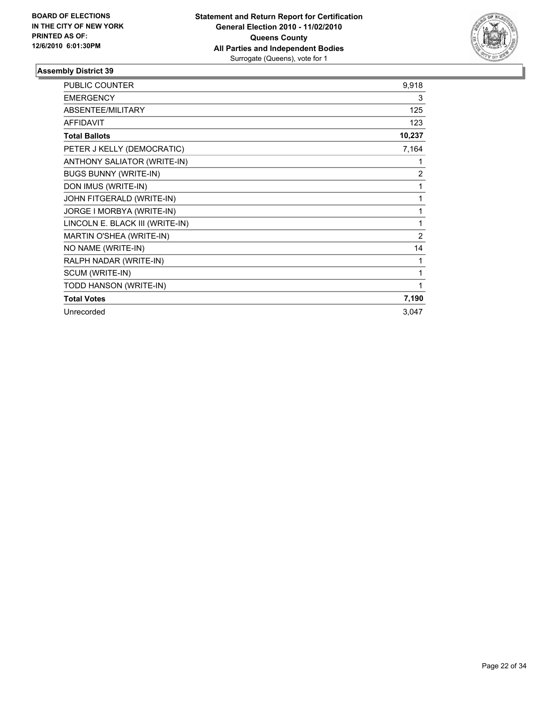

| <b>PUBLIC COUNTER</b>           | 9,918          |
|---------------------------------|----------------|
| <b>EMERGENCY</b>                | 3              |
| ABSENTEE/MILITARY               | 125            |
| <b>AFFIDAVIT</b>                | 123            |
| <b>Total Ballots</b>            | 10,237         |
| PETER J KELLY (DEMOCRATIC)      | 7,164          |
| ANTHONY SALIATOR (WRITE-IN)     | 1              |
| <b>BUGS BUNNY (WRITE-IN)</b>    | $\overline{2}$ |
| DON IMUS (WRITE-IN)             | 1              |
| JOHN FITGERALD (WRITE-IN)       | 1              |
| JORGE I MORBYA (WRITE-IN)       | 1              |
| LINCOLN E. BLACK III (WRITE-IN) | 1              |
| MARTIN O'SHEA (WRITE-IN)        | $\overline{2}$ |
| NO NAME (WRITE-IN)              | 14             |
| RALPH NADAR (WRITE-IN)          | 1              |
| SCUM (WRITE-IN)                 | 1              |
| TODD HANSON (WRITE-IN)          | 1              |
| <b>Total Votes</b>              | 7,190          |
| Unrecorded                      | 3,047          |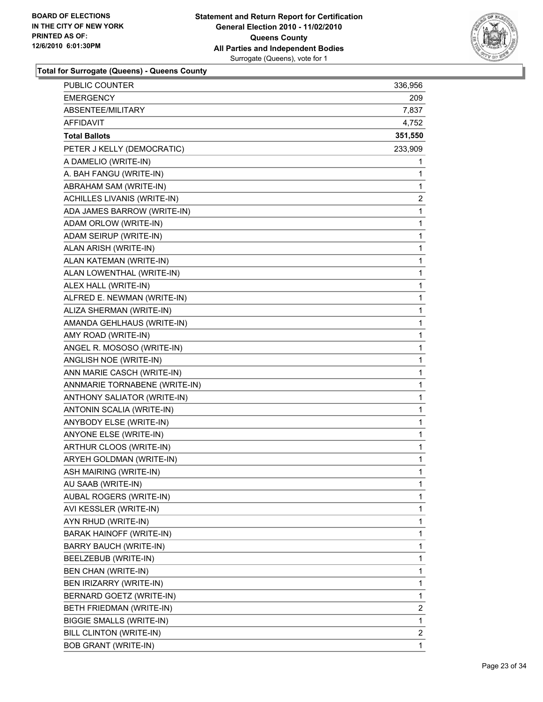

| PUBLIC COUNTER                  | 336,956 |
|---------------------------------|---------|
| EMERGENCY                       | 209     |
| <b>ABSENTEE/MILITARY</b>        | 7,837   |
| <b>AFFIDAVIT</b>                | 4,752   |
| <b>Total Ballots</b>            | 351,550 |
| PETER J KELLY (DEMOCRATIC)      | 233,909 |
| A DAMELIO (WRITE-IN)            | 1       |
| A. BAH FANGU (WRITE-IN)         | 1       |
| ABRAHAM SAM (WRITE-IN)          | 1       |
| ACHILLES LIVANIS (WRITE-IN)     | 2       |
| ADA JAMES BARROW (WRITE-IN)     | 1       |
| ADAM ORLOW (WRITE-IN)           | 1       |
| ADAM SEIRUP (WRITE-IN)          | 1       |
| ALAN ARISH (WRITE-IN)           | 1       |
| ALAN KATEMAN (WRITE-IN)         | 1       |
| ALAN LOWENTHAL (WRITE-IN)       | 1       |
| ALEX HALL (WRITE-IN)            | 1       |
| ALFRED E. NEWMAN (WRITE-IN)     | 1       |
| ALIZA SHERMAN (WRITE-IN)        | 1       |
| AMANDA GEHLHAUS (WRITE-IN)      | 1       |
| AMY ROAD (WRITE-IN)             | 1       |
| ANGEL R. MOSOSO (WRITE-IN)      | 1       |
| ANGLISH NOE (WRITE-IN)          | 1       |
| ANN MARIE CASCH (WRITE-IN)      | 1       |
| ANNMARIE TORNABENE (WRITE-IN)   | 1       |
| ANTHONY SALIATOR (WRITE-IN)     | 1       |
| ANTONIN SCALIA (WRITE-IN)       | 1       |
| ANYBODY ELSE (WRITE-IN)         | 1       |
| ANYONE ELSE (WRITE-IN)          | 1       |
| ARTHUR CLOOS (WRITE-IN)         | 1       |
| ARYEH GOLDMAN (WRITE-IN)        | 1       |
| ASH MAIRING (WRITE-IN)          | 1       |
| AU SAAB (WRITE-IN)              | 1       |
| AUBAL ROGERS (WRITE-IN)         | 1       |
| AVI KESSLER (WRITE-IN)          | 1       |
| AYN RHUD (WRITE-IN)             | 1       |
| <b>BARAK HAINOFF (WRITE-IN)</b> | 1       |
| BARRY BAUCH (WRITE-IN)          | 1       |
| BEELZEBUB (WRITE-IN)            | 1       |
| BEN CHAN (WRITE-IN)             | 1       |
| BEN IRIZARRY (WRITE-IN)         | 1       |
| BERNARD GOETZ (WRITE-IN)        | 1       |
| BETH FRIEDMAN (WRITE-IN)        | 2       |
| <b>BIGGIE SMALLS (WRITE-IN)</b> | 1       |
| BILL CLINTON (WRITE-IN)         | 2       |
| <b>BOB GRANT (WRITE-IN)</b>     | 1       |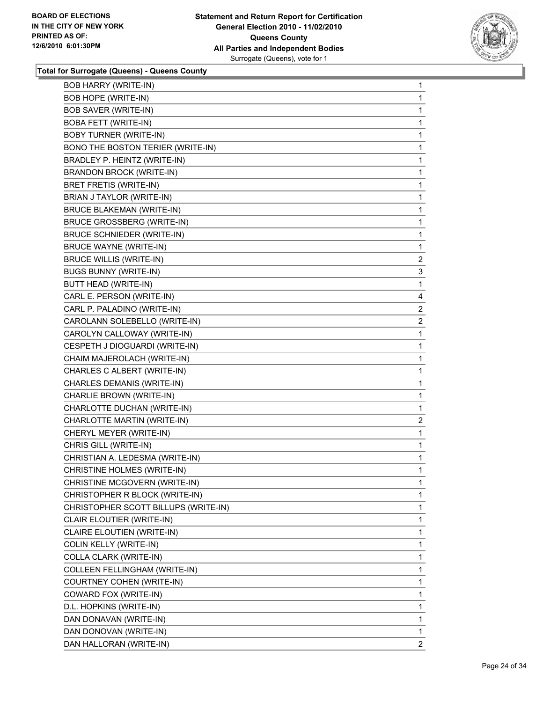

| <b>BOB HARRY (WRITE-IN)</b>          | 1              |
|--------------------------------------|----------------|
| <b>BOB HOPE (WRITE-IN)</b>           | $\mathbf{1}$   |
| <b>BOB SAVER (WRITE-IN)</b>          | 1              |
| <b>BOBA FETT (WRITE-IN)</b>          | 1              |
| <b>BOBY TURNER (WRITE-IN)</b>        | 1              |
| BONO THE BOSTON TERIER (WRITE-IN)    | 1              |
| BRADLEY P. HEINTZ (WRITE-IN)         | 1              |
| <b>BRANDON BROCK (WRITE-IN)</b>      | 1              |
| BRET FRETIS (WRITE-IN)               | 1              |
| BRIAN J TAYLOR (WRITE-IN)            | 1              |
| <b>BRUCE BLAKEMAN (WRITE-IN)</b>     | 1              |
| <b>BRUCE GROSSBERG (WRITE-IN)</b>    | 1              |
| <b>BRUCE SCHNIEDER (WRITE-IN)</b>    | 1              |
| <b>BRUCE WAYNE (WRITE-IN)</b>        | 1              |
| <b>BRUCE WILLIS (WRITE-IN)</b>       | $\overline{2}$ |
| <b>BUGS BUNNY (WRITE-IN)</b>         | 3              |
| <b>BUTT HEAD (WRITE-IN)</b>          | 1              |
| CARL E. PERSON (WRITE-IN)            | 4              |
| CARL P. PALADINO (WRITE-IN)          | $\overline{2}$ |
| CAROLANN SOLEBELLO (WRITE-IN)        | $\overline{2}$ |
| CAROLYN CALLOWAY (WRITE-IN)          | 1              |
| CESPETH J DIOGUARDI (WRITE-IN)       | 1              |
| CHAIM MAJEROLACH (WRITE-IN)          | 1              |
| CHARLES C ALBERT (WRITE-IN)          | 1              |
| CHARLES DEMANIS (WRITE-IN)           | 1              |
| CHARLIE BROWN (WRITE-IN)             | 1              |
| CHARLOTTE DUCHAN (WRITE-IN)          | 1              |
| CHARLOTTE MARTIN (WRITE-IN)          | $\overline{a}$ |
| CHERYL MEYER (WRITE-IN)              | 1              |
| CHRIS GILL (WRITE-IN)                | $\mathbf{1}$   |
| CHRISTIAN A. LEDESMA (WRITE-IN)      | 1              |
| CHRISTINE HOLMES (WRITE-IN)          | 1              |
| CHRISTINE MCGOVERN (WRITE-IN)        | 1              |
| CHRISTOPHER R BLOCK (WRITE-IN)       | 1              |
| CHRISTOPHER SCOTT BILLUPS (WRITE-IN) | 1              |
| CLAIR ELOUTIER (WRITE-IN)            | 1              |
| CLAIRE ELOUTIEN (WRITE-IN)           | 1              |
| COLIN KELLY (WRITE-IN)               | 1              |
| COLLA CLARK (WRITE-IN)               | 1              |
| COLLEEN FELLINGHAM (WRITE-IN)        | 1              |
| <b>COURTNEY COHEN (WRITE-IN)</b>     | 1              |
| COWARD FOX (WRITE-IN)                | 1              |
| D.L. HOPKINS (WRITE-IN)              | 1              |
| DAN DONAVAN (WRITE-IN)               | 1              |
| DAN DONOVAN (WRITE-IN)               | 1              |
| DAN HALLORAN (WRITE-IN)              | $\overline{2}$ |
|                                      |                |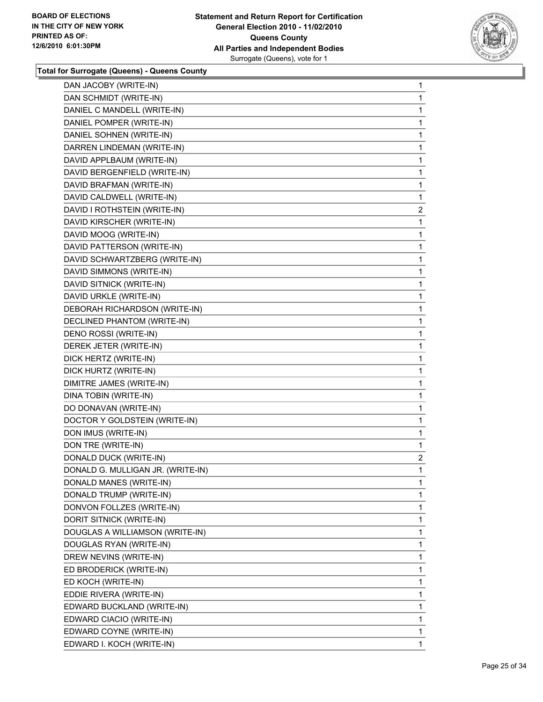

| DAN JACOBY (WRITE-IN)             | 1              |
|-----------------------------------|----------------|
| DAN SCHMIDT (WRITE-IN)            | 1              |
| DANIEL C MANDELL (WRITE-IN)       | 1              |
| DANIEL POMPER (WRITE-IN)          | 1              |
| DANIEL SOHNEN (WRITE-IN)          | 1              |
| DARREN LINDEMAN (WRITE-IN)        | 1              |
| DAVID APPLBAUM (WRITE-IN)         | 1              |
| DAVID BERGENFIELD (WRITE-IN)      | 1              |
| DAVID BRAFMAN (WRITE-IN)          | 1              |
| DAVID CALDWELL (WRITE-IN)         | 1              |
| DAVID I ROTHSTEIN (WRITE-IN)      | 2              |
| DAVID KIRSCHER (WRITE-IN)         | 1              |
| DAVID MOOG (WRITE-IN)             | 1              |
| DAVID PATTERSON (WRITE-IN)        | 1              |
| DAVID SCHWARTZBERG (WRITE-IN)     | 1              |
| DAVID SIMMONS (WRITE-IN)          | 1              |
| DAVID SITNICK (WRITE-IN)          | 1              |
| DAVID URKLE (WRITE-IN)            | 1              |
| DEBORAH RICHARDSON (WRITE-IN)     | 1              |
| DECLINED PHANTOM (WRITE-IN)       | 1              |
| DENO ROSSI (WRITE-IN)             | 1              |
| DEREK JETER (WRITE-IN)            | 1              |
| DICK HERTZ (WRITE-IN)             | 1              |
| DICK HURTZ (WRITE-IN)             | 1              |
| DIMITRE JAMES (WRITE-IN)          | 1              |
| DINA TOBIN (WRITE-IN)             | 1              |
| DO DONAVAN (WRITE-IN)             | 1              |
| DOCTOR Y GOLDSTEIN (WRITE-IN)     | 1              |
| DON IMUS (WRITE-IN)               | 1              |
| DON TRE (WRITE-IN)                | 1              |
| DONALD DUCK (WRITE-IN)            | $\overline{a}$ |
| DONALD G. MULLIGAN JR. (WRITE-IN) | 1              |
| DONALD MANES (WRITE-IN)           | 1              |
| DONALD TRUMP (WRITE-IN)           | 1              |
| DONVON FOLLZES (WRITE-IN)         | 1              |
| DORIT SITNICK (WRITE-IN)          | 1              |
| DOUGLAS A WILLIAMSON (WRITE-IN)   | 1              |
| DOUGLAS RYAN (WRITE-IN)           | 1              |
| DREW NEVINS (WRITE-IN)            | 1              |
| ED BRODERICK (WRITE-IN)           | 1              |
| ED KOCH (WRITE-IN)                | 1              |
| EDDIE RIVERA (WRITE-IN)           | 1              |
| EDWARD BUCKLAND (WRITE-IN)        | 1              |
| EDWARD CIACIO (WRITE-IN)          | 1              |
| EDWARD COYNE (WRITE-IN)           | 1              |
| EDWARD I. KOCH (WRITE-IN)         | 1              |
|                                   |                |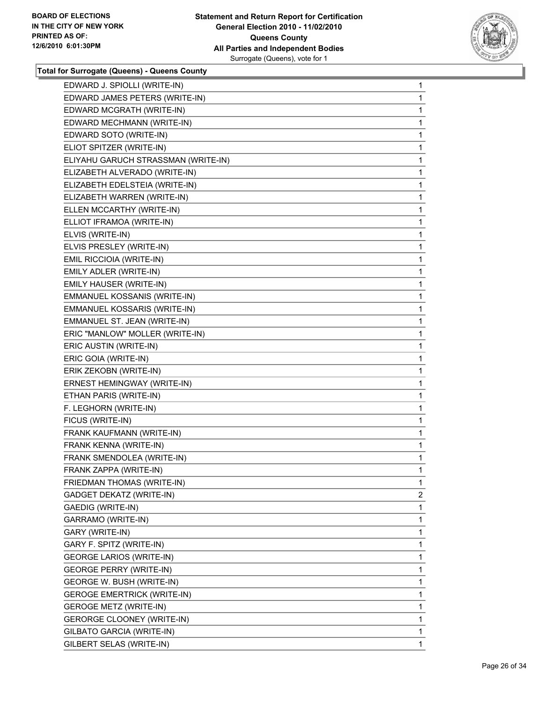

| EDWARD J. SPIOLLI (WRITE-IN)        | 1              |
|-------------------------------------|----------------|
| EDWARD JAMES PETERS (WRITE-IN)      | 1              |
| EDWARD MCGRATH (WRITE-IN)           | 1              |
| EDWARD MECHMANN (WRITE-IN)          | 1              |
| EDWARD SOTO (WRITE-IN)              | 1              |
| ELIOT SPITZER (WRITE-IN)            | 1              |
| ELIYAHU GARUCH STRASSMAN (WRITE-IN) | 1              |
| ELIZABETH ALVERADO (WRITE-IN)       | 1              |
| ELIZABETH EDELSTEIA (WRITE-IN)      | 1              |
| ELIZABETH WARREN (WRITE-IN)         | 1              |
| ELLEN MCCARTHY (WRITE-IN)           | 1              |
| ELLIOT IFRAMOA (WRITE-IN)           | 1              |
| ELVIS (WRITE-IN)                    | 1              |
| ELVIS PRESLEY (WRITE-IN)            | 1              |
| EMIL RICCIOIA (WRITE-IN)            | 1              |
| EMILY ADLER (WRITE-IN)              | 1              |
| EMILY HAUSER (WRITE-IN)             | 1              |
| EMMANUEL KOSSANIS (WRITE-IN)        | 1              |
| EMMANUEL KOSSARIS (WRITE-IN)        | 1              |
| EMMANUEL ST. JEAN (WRITE-IN)        | 1              |
| ERIC "MANLOW" MOLLER (WRITE-IN)     | 1              |
| ERIC AUSTIN (WRITE-IN)              | 1              |
| ERIC GOIA (WRITE-IN)                | 1              |
| ERIK ZEKOBN (WRITE-IN)              | 1              |
| ERNEST HEMINGWAY (WRITE-IN)         | 1              |
| ETHAN PARIS (WRITE-IN)              | 1              |
| F. LEGHORN (WRITE-IN)               | 1              |
| FICUS (WRITE-IN)                    | 1              |
| FRANK KAUFMANN (WRITE-IN)           | 1              |
| FRANK KENNA (WRITE-IN)              | 1              |
| FRANK SMENDOLEA (WRITE-IN)          | 1              |
| FRANK ZAPPA (WRITE-IN)              | 1              |
| FRIEDMAN THOMAS (WRITE-IN)          | 1              |
| GADGET DEKATZ (WRITE-IN)            | $\overline{2}$ |
| GAEDIG (WRITE-IN)                   | 1              |
| GARRAMO (WRITE-IN)                  | 1              |
| GARY (WRITE-IN)                     | 1              |
| GARY F. SPITZ (WRITE-IN)            | 1              |
| <b>GEORGE LARIOS (WRITE-IN)</b>     | 1              |
| <b>GEORGE PERRY (WRITE-IN)</b>      | 1              |
| GEORGE W. BUSH (WRITE-IN)           | 1              |
| <b>GEROGE EMERTRICK (WRITE-IN)</b>  | 1              |
| <b>GEROGE METZ (WRITE-IN)</b>       | 1              |
| GERORGE CLOONEY (WRITE-IN)          | 1              |
| GILBATO GARCIA (WRITE-IN)           | 1              |
| GILBERT SELAS (WRITE-IN)            | 1              |
|                                     |                |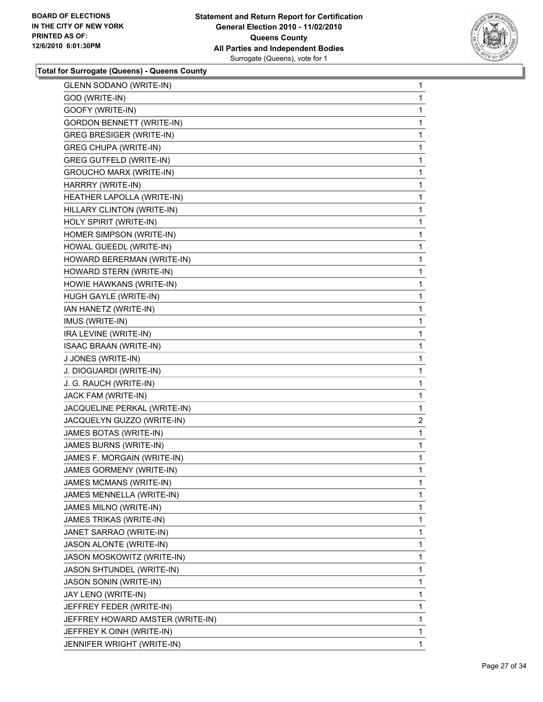

| <b>GLENN SODANO (WRITE-IN)</b>   | 1 |
|----------------------------------|---|
| GOD (WRITE-IN)                   | 1 |
| GOOFY (WRITE-IN)                 | 1 |
| <b>GORDON BENNETT (WRITE-IN)</b> | 1 |
| <b>GREG BRESIGER (WRITE-IN)</b>  | 1 |
| <b>GREG CHUPA (WRITE-IN)</b>     | 1 |
| <b>GREG GUTFELD (WRITE-IN)</b>   | 1 |
| <b>GROUCHO MARX (WRITE-IN)</b>   | 1 |
| HARRRY (WRITE-IN)                | 1 |
| HEATHER LAPOLLA (WRITE-IN)       | 1 |
| HILLARY CLINTON (WRITE-IN)       | 1 |
| HOLY SPIRIT (WRITE-IN)           | 1 |
| HOMER SIMPSON (WRITE-IN)         | 1 |
| HOWAL GUEEDL (WRITE-IN)          | 1 |
| HOWARD BERERMAN (WRITE-IN)       | 1 |
| HOWARD STERN (WRITE-IN)          | 1 |
| HOWIE HAWKANS (WRITE-IN)         | 1 |
| HUGH GAYLE (WRITE-IN)            | 1 |
| IAN HANETZ (WRITE-IN)            | 1 |
| IMUS (WRITE-IN)                  | 1 |
| IRA LEVINE (WRITE-IN)            | 1 |
| <b>ISAAC BRAAN (WRITE-IN)</b>    | 1 |
| J JONES (WRITE-IN)               | 1 |
| J. DIOGUARDI (WRITE-IN)          | 1 |
| J. G. RAUCH (WRITE-IN)           | 1 |
| JACK FAM (WRITE-IN)              | 1 |
| JACQUELINE PERKAL (WRITE-IN)     | 1 |
| JACQUELYN GUZZO (WRITE-IN)       | 2 |
| JAMES BOTAS (WRITE-IN)           | 1 |
| JAMES BURNS (WRITE-IN)           | 1 |
| JAMES F. MORGAIN (WRITE-IN)      | 1 |
| JAMES GORMENY (WRITE-IN)         | 1 |
| JAMES MCMANS (WRITE-IN)          | 1 |
| JAMES MENNELLA (WRITE-IN)        | 1 |
| JAMES MILNO (WRITE-IN)           | 1 |
| JAMES TRIKAS (WRITE-IN)          | 1 |
| JANET SARRAO (WRITE-IN)          | 1 |
| JASON ALONTE (WRITE-IN)          | 1 |
| JASON MOSKOWITZ (WRITE-IN)       | 1 |
| JASON SHTUNDEL (WRITE-IN)        | 1 |
| JASON SONIN (WRITE-IN)           | 1 |
| JAY LENO (WRITE-IN)              | 1 |
| JEFFREY FEDER (WRITE-IN)         | 1 |
| JEFFREY HOWARD AMSTER (WRITE-IN) | 1 |
| JEFFREY K OINH (WRITE-IN)        | 1 |
| JENNIFER WRIGHT (WRITE-IN)       | 1 |
|                                  |   |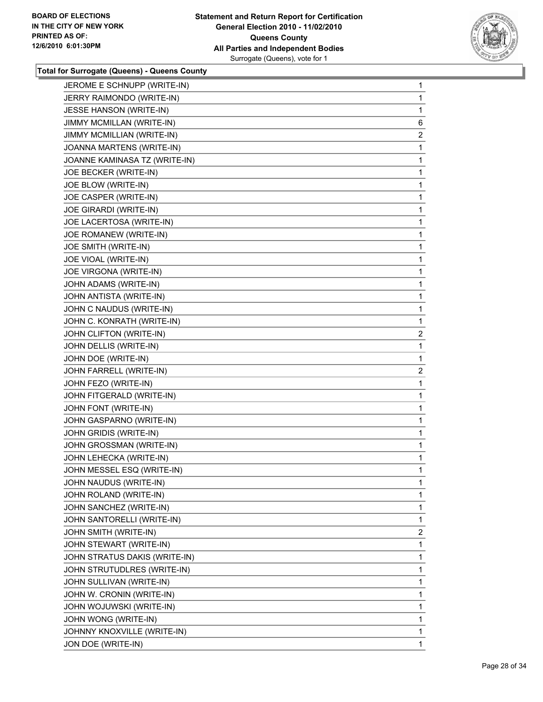

| JEROME E SCHNUPP (WRITE-IN)   | 1              |
|-------------------------------|----------------|
| JERRY RAIMONDO (WRITE-IN)     | 1              |
| JESSE HANSON (WRITE-IN)       | 1              |
| JIMMY MCMILLAN (WRITE-IN)     | 6              |
| JIMMY MCMILLIAN (WRITE-IN)    | $\overline{2}$ |
| JOANNA MARTENS (WRITE-IN)     | 1              |
| JOANNE KAMINASA TZ (WRITE-IN) | 1              |
| JOE BECKER (WRITE-IN)         | 1              |
| JOE BLOW (WRITE-IN)           | 1              |
| JOE CASPER (WRITE-IN)         | 1              |
| JOE GIRARDI (WRITE-IN)        | 1              |
| JOE LACERTOSA (WRITE-IN)      | 1              |
| JOE ROMANEW (WRITE-IN)        | 1              |
| JOE SMITH (WRITE-IN)          | 1              |
| JOE VIOAL (WRITE-IN)          | 1              |
| JOE VIRGONA (WRITE-IN)        | 1              |
| JOHN ADAMS (WRITE-IN)         | 1              |
| JOHN ANTISTA (WRITE-IN)       | 1              |
| JOHN C NAUDUS (WRITE-IN)      | 1              |
| JOHN C. KONRATH (WRITE-IN)    | 1              |
| JOHN CLIFTON (WRITE-IN)       | $\overline{2}$ |
| JOHN DELLIS (WRITE-IN)        | 1              |
| JOHN DOE (WRITE-IN)           | 1              |
| JOHN FARRELL (WRITE-IN)       | $\mathbf{2}$   |
| JOHN FEZO (WRITE-IN)          | 1              |
| JOHN FITGERALD (WRITE-IN)     | 1              |
| JOHN FONT (WRITE-IN)          | 1              |
| JOHN GASPARNO (WRITE-IN)      | 1              |
| JOHN GRIDIS (WRITE-IN)        | 1              |
| JOHN GROSSMAN (WRITE-IN)      | 1              |
| JOHN LEHECKA (WRITE-IN)       | 1              |
| JOHN MESSEL ESQ (WRITE-IN)    | 1              |
| JOHN NAUDUS (WRITE-IN)        | 1              |
| JOHN ROLAND (WRITE-IN)        | 1              |
| JOHN SANCHEZ (WRITE-IN)       | 1              |
| JOHN SANTORELLI (WRITE-IN)    | 1              |
| JOHN SMITH (WRITE-IN)         | 2              |
| JOHN STEWART (WRITE-IN)       | 1              |
| JOHN STRATUS DAKIS (WRITE-IN) | 1              |
| JOHN STRUTUDLRES (WRITE-IN)   | 1              |
| JOHN SULLIVAN (WRITE-IN)      | 1              |
| JOHN W. CRONIN (WRITE-IN)     | 1              |
| JOHN WOJUWSKI (WRITE-IN)      | 1              |
| JOHN WONG (WRITE-IN)          | 1              |
| JOHNNY KNOXVILLE (WRITE-IN)   | 1              |
| JON DOE (WRITE-IN)            | 1              |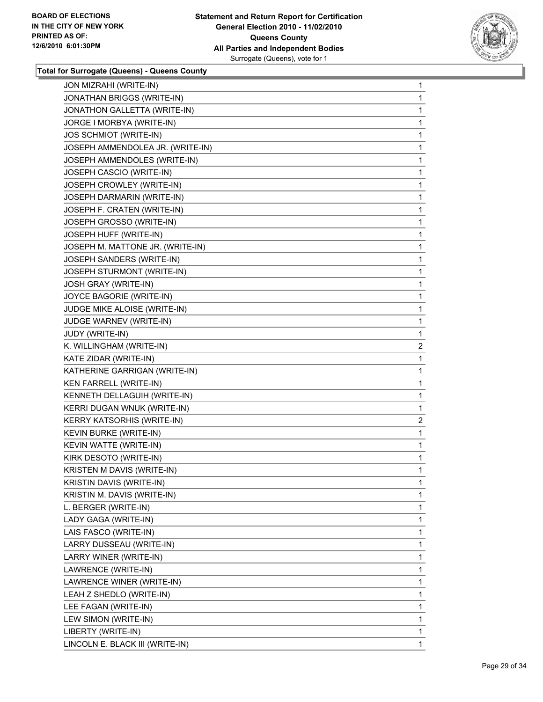

| <b>JON MIZRAHI (WRITE-IN)</b>     | 1              |
|-----------------------------------|----------------|
| JONATHAN BRIGGS (WRITE-IN)        | 1              |
| JONATHON GALLETTA (WRITE-IN)      | 1              |
| JORGE I MORBYA (WRITE-IN)         | 1              |
| <b>JOS SCHMIOT (WRITE-IN)</b>     | 1              |
| JOSEPH AMMENDOLEA JR. (WRITE-IN)  | 1              |
| JOSEPH AMMENDOLES (WRITE-IN)      | 1              |
| JOSEPH CASCIO (WRITE-IN)          | 1              |
| JOSEPH CROWLEY (WRITE-IN)         | 1              |
| JOSEPH DARMARIN (WRITE-IN)        | 1              |
| JOSEPH F. CRATEN (WRITE-IN)       | 1              |
| JOSEPH GROSSO (WRITE-IN)          | 1              |
| JOSEPH HUFF (WRITE-IN)            | 1              |
| JOSEPH M. MATTONE JR. (WRITE-IN)  | 1              |
| JOSEPH SANDERS (WRITE-IN)         | 1              |
| JOSEPH STURMONT (WRITE-IN)        | 1              |
| JOSH GRAY (WRITE-IN)              | 1              |
| JOYCE BAGORIE (WRITE-IN)          | 1              |
| JUDGE MIKE ALOISE (WRITE-IN)      | 1              |
| JUDGE WARNEV (WRITE-IN)           | 1              |
| JUDY (WRITE-IN)                   | 1              |
| K. WILLINGHAM (WRITE-IN)          | $\overline{2}$ |
| KATE ZIDAR (WRITE-IN)             | 1              |
| KATHERINE GARRIGAN (WRITE-IN)     | 1              |
| KEN FARRELL (WRITE-IN)            | 1              |
| KENNETH DELLAGUIH (WRITE-IN)      | 1              |
| KERRI DUGAN WNUK (WRITE-IN)       | 1              |
| KERRY KATSORHIS (WRITE-IN)        | $\overline{2}$ |
| KEVIN BURKE (WRITE-IN)            | 1              |
| KEVIN WATTE (WRITE-IN)            | 1              |
| KIRK DESOTO (WRITE-IN)            | 1              |
| <b>KRISTEN M DAVIS (WRITE-IN)</b> | 1              |
| KRISTIN DAVIS (WRITE-IN)          | 1              |
| KRISTIN M. DAVIS (WRITE-IN)       | 1              |
| L. BERGER (WRITE-IN)              | 1              |
| LADY GAGA (WRITE-IN)              | 1              |
| LAIS FASCO (WRITE-IN)             | 1              |
| LARRY DUSSEAU (WRITE-IN)          | 1              |
| LARRY WINER (WRITE-IN)            | 1              |
| LAWRENCE (WRITE-IN)               | 1              |
| LAWRENCE WINER (WRITE-IN)         | 1              |
| LEAH Z SHEDLO (WRITE-IN)          | 1              |
| LEE FAGAN (WRITE-IN)              | 1              |
| LEW SIMON (WRITE-IN)              | 1              |
| LIBERTY (WRITE-IN)                | 1              |
| LINCOLN E. BLACK III (WRITE-IN)   | 1              |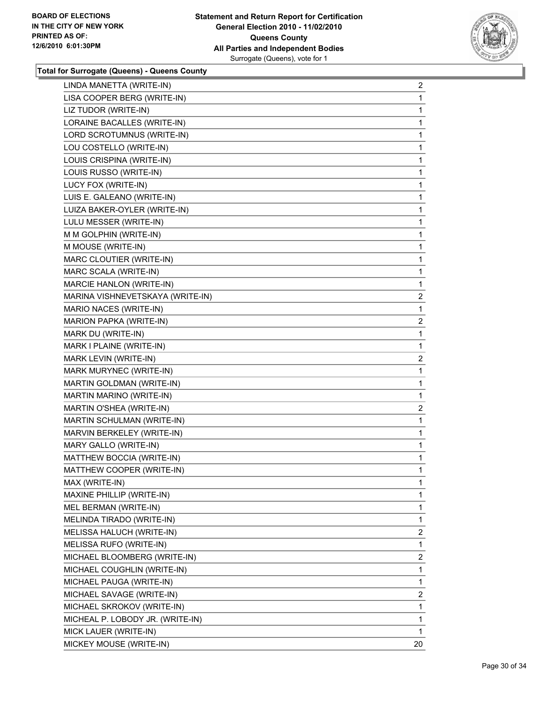

| LINDA MANETTA (WRITE-IN)         | 2              |
|----------------------------------|----------------|
| LISA COOPER BERG (WRITE-IN)      | 1              |
| LIZ TUDOR (WRITE-IN)             | 1              |
| LORAINE BACALLES (WRITE-IN)      | 1              |
| LORD SCROTUMNUS (WRITE-IN)       | 1              |
| LOU COSTELLO (WRITE-IN)          | 1              |
| LOUIS CRISPINA (WRITE-IN)        | 1              |
| LOUIS RUSSO (WRITE-IN)           | 1              |
| LUCY FOX (WRITE-IN)              | 1              |
| LUIS E. GALEANO (WRITE-IN)       | 1              |
| LUIZA BAKER-OYLER (WRITE-IN)     | 1              |
| LULU MESSER (WRITE-IN)           | 1              |
| M M GOLPHIN (WRITE-IN)           | 1              |
| M MOUSE (WRITE-IN)               | 1              |
| MARC CLOUTIER (WRITE-IN)         | 1              |
| MARC SCALA (WRITE-IN)            | 1              |
| MARCIE HANLON (WRITE-IN)         | 1              |
| MARINA VISHNEVETSKAYA (WRITE-IN) | 2              |
| MARIO NACES (WRITE-IN)           | 1              |
| MARION PAPKA (WRITE-IN)          | $\overline{2}$ |
| MARK DU (WRITE-IN)               | 1              |
| MARK I PLAINE (WRITE-IN)         | 1              |
| MARK LEVIN (WRITE-IN)            | 2              |
| MARK MURYNEC (WRITE-IN)          | 1              |
| MARTIN GOLDMAN (WRITE-IN)        | 1              |
| MARTIN MARINO (WRITE-IN)         | 1              |
| MARTIN O'SHEA (WRITE-IN)         | $\overline{2}$ |
| MARTIN SCHULMAN (WRITE-IN)       | 1              |
| MARVIN BERKELEY (WRITE-IN)       | 1              |
| MARY GALLO (WRITE-IN)            | 1              |
| MATTHEW BOCCIA (WRITE-IN)        | 1              |
| MATTHEW COOPER (WRITE-IN)        | 1              |
| MAX (WRITE-IN)                   | 1              |
| MAXINE PHILLIP (WRITE-IN)        | 1              |
| MEL BERMAN (WRITE-IN)            | 1              |
| MELINDA TIRADO (WRITE-IN)        | 1              |
| MELISSA HALUCH (WRITE-IN)        | 2              |
| MELISSA RUFO (WRITE-IN)          | 1              |
| MICHAEL BLOOMBERG (WRITE-IN)     | $\overline{2}$ |
| MICHAEL COUGHLIN (WRITE-IN)      | 1              |
| MICHAEL PAUGA (WRITE-IN)         | 1              |
| MICHAEL SAVAGE (WRITE-IN)        | 2              |
| MICHAEL SKROKOV (WRITE-IN)       | 1              |
| MICHEAL P. LOBODY JR. (WRITE-IN) | 1              |
| MICK LAUER (WRITE-IN)            | 1              |
| MICKEY MOUSE (WRITE-IN)          | 20             |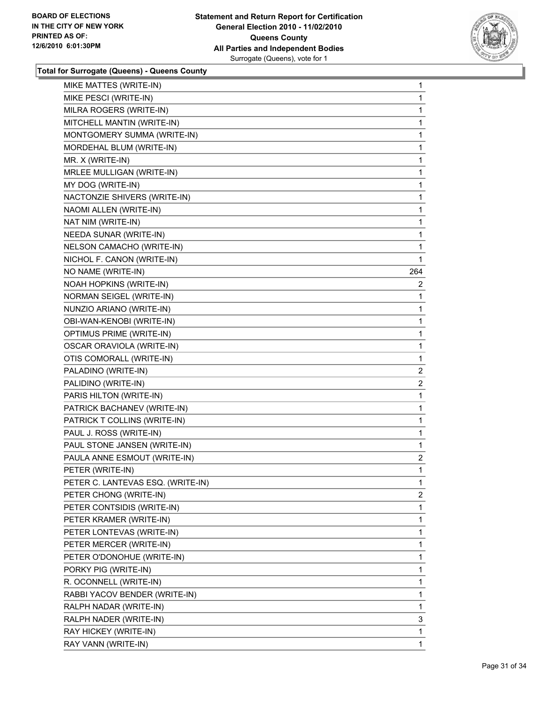

| MIKE MATTES (WRITE-IN)            | 1              |
|-----------------------------------|----------------|
| MIKE PESCI (WRITE-IN)             | 1              |
| MILRA ROGERS (WRITE-IN)           | 1              |
| MITCHELL MANTIN (WRITE-IN)        | 1              |
| MONTGOMERY SUMMA (WRITE-IN)       | 1              |
| MORDEHAL BLUM (WRITE-IN)          | 1              |
| MR. X (WRITE-IN)                  | 1              |
| MRLEE MULLIGAN (WRITE-IN)         | 1              |
| MY DOG (WRITE-IN)                 | 1              |
| NACTONZIE SHIVERS (WRITE-IN)      | 1              |
| NAOMI ALLEN (WRITE-IN)            | 1              |
| NAT NIM (WRITE-IN)                | 1              |
| NEEDA SUNAR (WRITE-IN)            | 1              |
| NELSON CAMACHO (WRITE-IN)         | 1              |
| NICHOL F. CANON (WRITE-IN)        | 1              |
| NO NAME (WRITE-IN)                | 264            |
| NOAH HOPKINS (WRITE-IN)           | 2              |
| NORMAN SEIGEL (WRITE-IN)          | 1              |
| NUNZIO ARIANO (WRITE-IN)          | 1              |
| OBI-WAN-KENOBI (WRITE-IN)         | 1              |
| <b>OPTIMUS PRIME (WRITE-IN)</b>   | 1              |
| OSCAR ORAVIOLA (WRITE-IN)         | 1              |
| OTIS COMORALL (WRITE-IN)          | 1              |
| PALADINO (WRITE-IN)               | 2              |
| PALIDINO (WRITE-IN)               | $\overline{2}$ |
| PARIS HILTON (WRITE-IN)           | 1              |
| PATRICK BACHANEV (WRITE-IN)       | 1              |
| PATRICK T COLLINS (WRITE-IN)      | 1              |
| PAUL J. ROSS (WRITE-IN)           | 1              |
| PAUL STONE JANSEN (WRITE-IN)      | 1              |
| PAULA ANNE ESMOUT (WRITE-IN)      | $\overline{2}$ |
| PETER (WRITE-IN)                  | 1              |
| PETER C. LANTEVAS ESQ. (WRITE-IN) | 1              |
| PETER CHONG (WRITE-IN)            | 2              |
| PETER CONTSIDIS (WRITE-IN)        | 1              |
| PETER KRAMER (WRITE-IN)           | 1              |
| PETER LONTEVAS (WRITE-IN)         | 1              |
| PETER MERCER (WRITE-IN)           | 1              |
| PETER O'DONOHUE (WRITE-IN)        | 1              |
| PORKY PIG (WRITE-IN)              | 1              |
| R. OCONNELL (WRITE-IN)            | 1              |
| RABBI YACOV BENDER (WRITE-IN)     | 1              |
| RALPH NADAR (WRITE-IN)            | 1              |
| RALPH NADER (WRITE-IN)            | 3              |
| RAY HICKEY (WRITE-IN)             | 1              |
| RAY VANN (WRITE-IN)               | 1.             |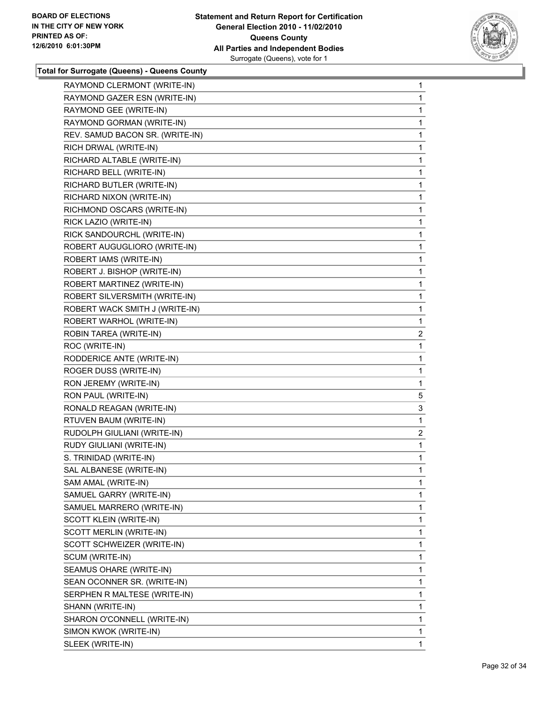

| RAYMOND CLERMONT (WRITE-IN)     | 1              |
|---------------------------------|----------------|
| RAYMOND GAZER ESN (WRITE-IN)    | 1              |
| RAYMOND GEE (WRITE-IN)          | 1              |
| RAYMOND GORMAN (WRITE-IN)       | 1              |
| REV. SAMUD BACON SR. (WRITE-IN) | $\mathbf{1}$   |
| RICH DRWAL (WRITE-IN)           | 1              |
| RICHARD ALTABLE (WRITE-IN)      | 1              |
| RICHARD BELL (WRITE-IN)         | 1              |
| RICHARD BUTLER (WRITE-IN)       | 1              |
| RICHARD NIXON (WRITE-IN)        | 1              |
| RICHMOND OSCARS (WRITE-IN)      | $\mathbf{1}$   |
| RICK LAZIO (WRITE-IN)           | 1              |
| RICK SANDOURCHL (WRITE-IN)      | 1              |
| ROBERT AUGUGLIORO (WRITE-IN)    | 1              |
| ROBERT IAMS (WRITE-IN)          | 1              |
| ROBERT J. BISHOP (WRITE-IN)     | 1              |
| ROBERT MARTINEZ (WRITE-IN)      | $\mathbf{1}$   |
| ROBERT SILVERSMITH (WRITE-IN)   | 1              |
| ROBERT WACK SMITH J (WRITE-IN)  | 1              |
| ROBERT WARHOL (WRITE-IN)        | 1              |
| ROBIN TAREA (WRITE-IN)          | $\overline{2}$ |
| ROC (WRITE-IN)                  | 1              |
| RODDERICE ANTE (WRITE-IN)       | $\mathbf{1}$   |
| ROGER DUSS (WRITE-IN)           | 1              |
| RON JEREMY (WRITE-IN)           | 1              |
| RON PAUL (WRITE-IN)             | 5              |
| RONALD REAGAN (WRITE-IN)        | 3              |
| RTUVEN BAUM (WRITE-IN)          | 1              |
| RUDOLPH GIULIANI (WRITE-IN)     | $\overline{2}$ |
| RUDY GIULIANI (WRITE-IN)        | 1              |
| S. TRINIDAD (WRITE-IN)          | 1              |
| SAL ALBANESE (WRITE-IN)         | 1              |
| SAM AMAL (WRITE-IN)             | 1              |
| SAMUEL GARRY (WRITE-IN)         | 1              |
| SAMUEL MARRERO (WRITE-IN)       | 1              |
| SCOTT KLEIN (WRITE-IN)          | 1              |
| SCOTT MERLIN (WRITE-IN)         | 1              |
| SCOTT SCHWEIZER (WRITE-IN)      | 1              |
| SCUM (WRITE-IN)                 | 1              |
| SEAMUS OHARE (WRITE-IN)         | 1              |
| SEAN OCONNER SR. (WRITE-IN)     | 1              |
| SERPHEN R MALTESE (WRITE-IN)    | 1              |
| SHANN (WRITE-IN)                | 1              |
| SHARON O'CONNELL (WRITE-IN)     | 1              |
| SIMON KWOK (WRITE-IN)           | 1              |
| SLEEK (WRITE-IN)                | 1.             |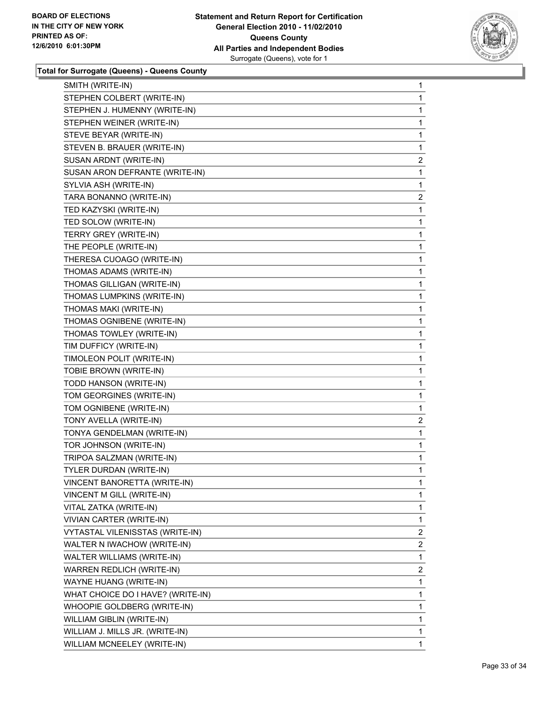

| SMITH (WRITE-IN)                  | 1              |
|-----------------------------------|----------------|
| STEPHEN COLBERT (WRITE-IN)        | 1              |
| STEPHEN J. HUMENNY (WRITE-IN)     | 1              |
| STEPHEN WEINER (WRITE-IN)         | 1              |
| STEVE BEYAR (WRITE-IN)            | 1              |
| STEVEN B. BRAUER (WRITE-IN)       | 1              |
| SUSAN ARDNT (WRITE-IN)            | $\overline{a}$ |
| SUSAN ARON DEFRANTE (WRITE-IN)    | 1              |
| SYLVIA ASH (WRITE-IN)             | 1              |
| TARA BONANNO (WRITE-IN)           | $\overline{2}$ |
| TED KAZYSKI (WRITE-IN)            | 1              |
| TED SOLOW (WRITE-IN)              | 1              |
| TERRY GREY (WRITE-IN)             | 1              |
| THE PEOPLE (WRITE-IN)             | 1              |
| THERESA CUOAGO (WRITE-IN)         | 1              |
| THOMAS ADAMS (WRITE-IN)           | 1              |
| THOMAS GILLIGAN (WRITE-IN)        | 1              |
| THOMAS LUMPKINS (WRITE-IN)        | 1              |
| THOMAS MAKI (WRITE-IN)            | 1              |
| THOMAS OGNIBENE (WRITE-IN)        | 1              |
| THOMAS TOWLEY (WRITE-IN)          | 1              |
| TIM DUFFICY (WRITE-IN)            | 1              |
| TIMOLEON POLIT (WRITE-IN)         | 1              |
| TOBIE BROWN (WRITE-IN)            | 1              |
| TODD HANSON (WRITE-IN)            | 1              |
| TOM GEORGINES (WRITE-IN)          | 1              |
| TOM OGNIBENE (WRITE-IN)           | 1              |
| TONY AVELLA (WRITE-IN)            | $\overline{a}$ |
| TONYA GENDELMAN (WRITE-IN)        | 1              |
| TOR JOHNSON (WRITE-IN)            | 1              |
| TRIPOA SALZMAN (WRITE-IN)         | 1              |
| TYLER DURDAN (WRITE-IN)           | 1              |
| VINCENT BANORETTA (WRITE-IN)      | 1              |
| VINCENT M GILL (WRITE-IN)         | 1              |
| VITAL ZATKA (WRITE-IN)            | 1              |
| VIVIAN CARTER (WRITE-IN)          | 1              |
| VYTASTAL VILENISSTAS (WRITE-IN)   | 2              |
| WALTER N IWACHOW (WRITE-IN)       | 2              |
| WALTER WILLIAMS (WRITE-IN)        | 1              |
| WARREN REDLICH (WRITE-IN)         | $\overline{2}$ |
| WAYNE HUANG (WRITE-IN)            | 1              |
| WHAT CHOICE DO I HAVE? (WRITE-IN) | 1              |
| WHOOPIE GOLDBERG (WRITE-IN)       | 1              |
| WILLIAM GIBLIN (WRITE-IN)         | 1              |
| WILLIAM J. MILLS JR. (WRITE-IN)   | 1              |
| WILLIAM MCNEELEY (WRITE-IN)       | $\mathbf{1}$   |